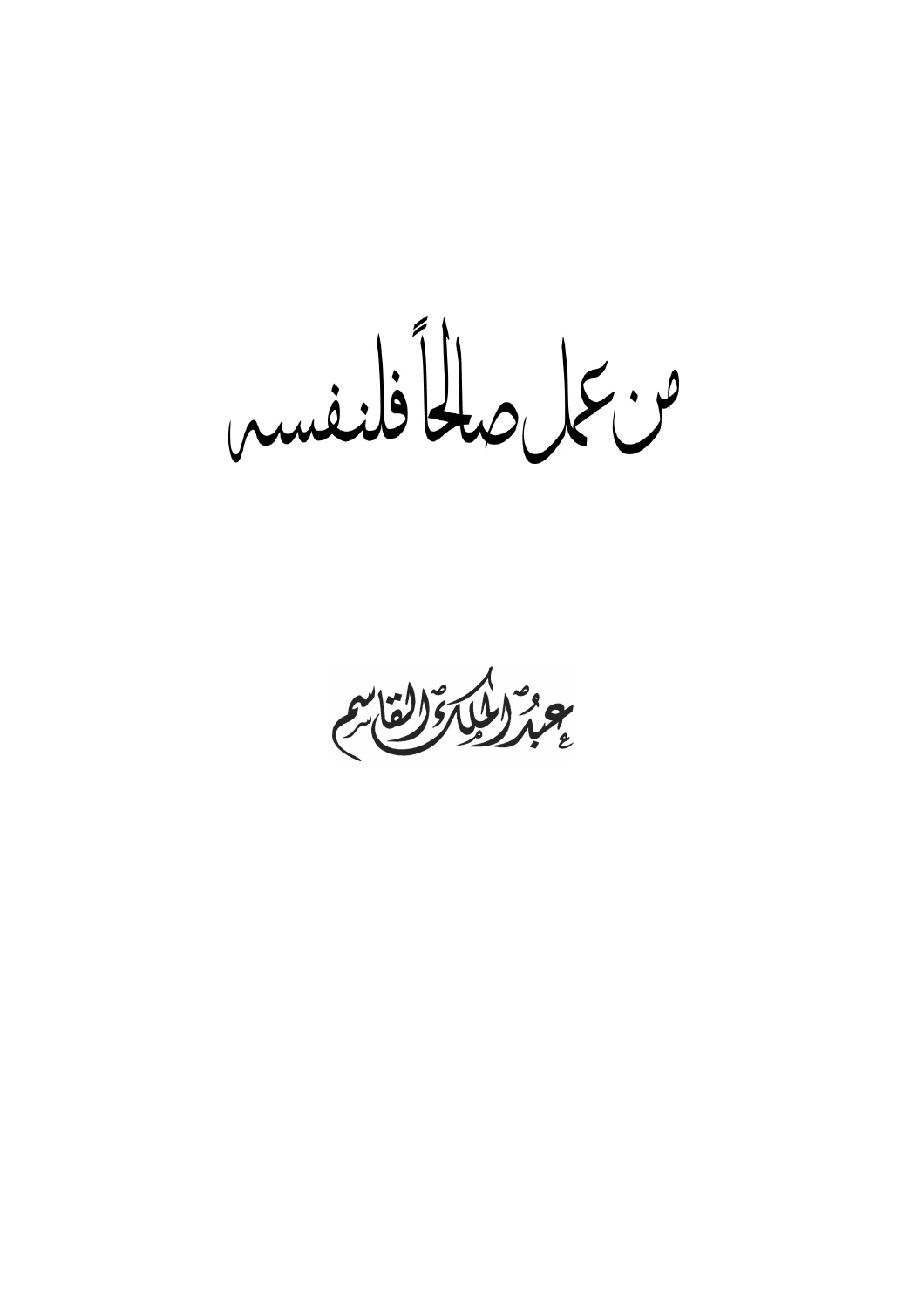من على صلحاً فلنفسس

جزوفي وقالتاج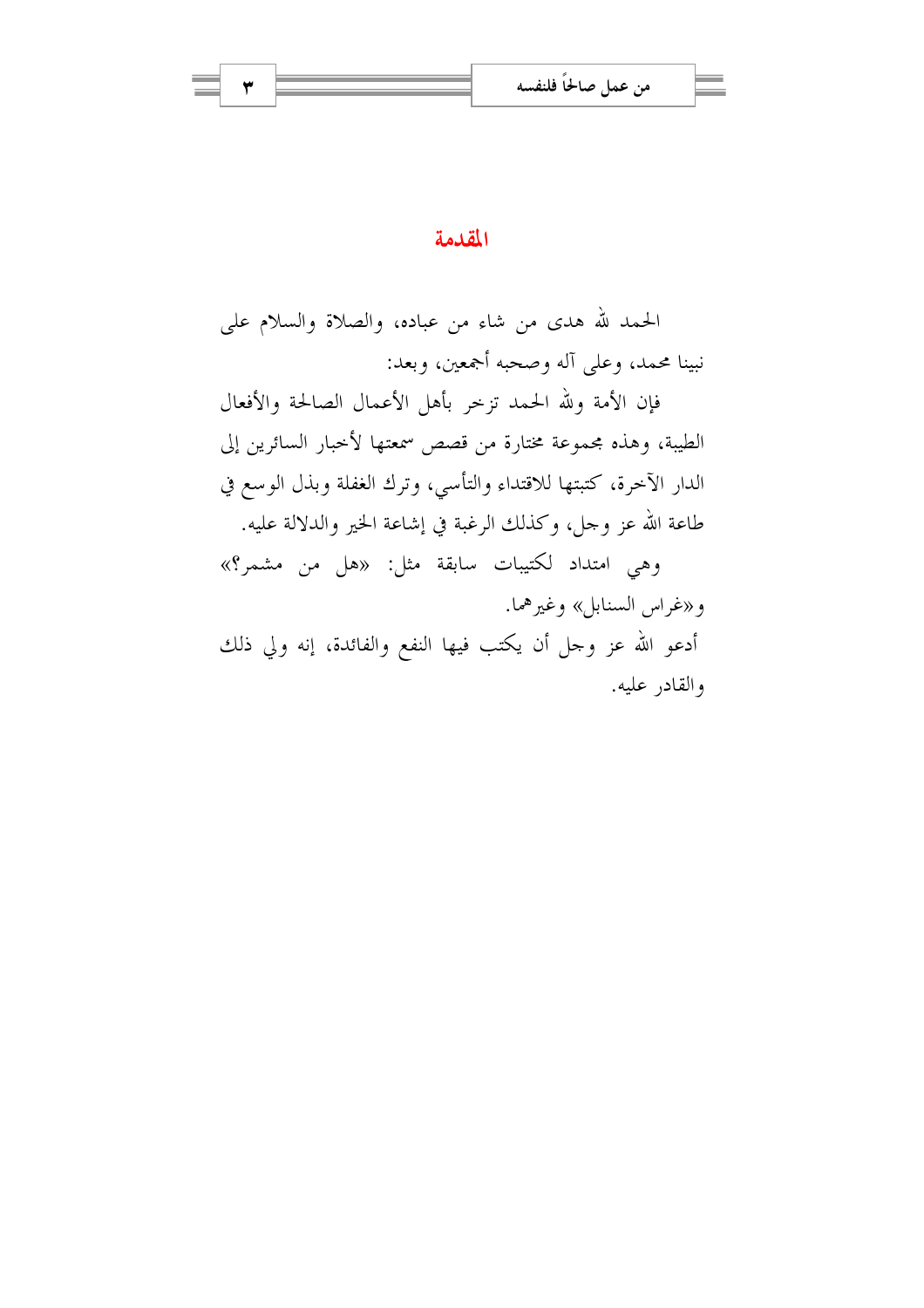# من عمل صالحاً فلنفسه

#### المقدمة

الحمد لله هدى من شاء من عباده، والصلاة والسلام على نبينا محمد، وعلى آله وصحبه أجمعين، وبعد:

فإن الأمة ولله الحمد تزحر بأهل الأعمال الصالحة والأفعال الطيبة، وهذه مجموعة مختارة من قصص سمعتها لأخبار السائرين إلى الدار الآخرة، كتبتها للاقتداء والتأسي، وترك الغفلة وبذل الوسع في طاعة الله عز وجل، وكذلك الرغبة في إشاعة الخير والدلالة عليه.

وهي امتداد لكتيبات سابقة مثل: «هل من مشمر؟» و«غراس السنابل» وغيرهما. أدعو الله عز وحل أن يكتب فيها النفع والفائدة، إنه ولي ذلك والقادر عليه.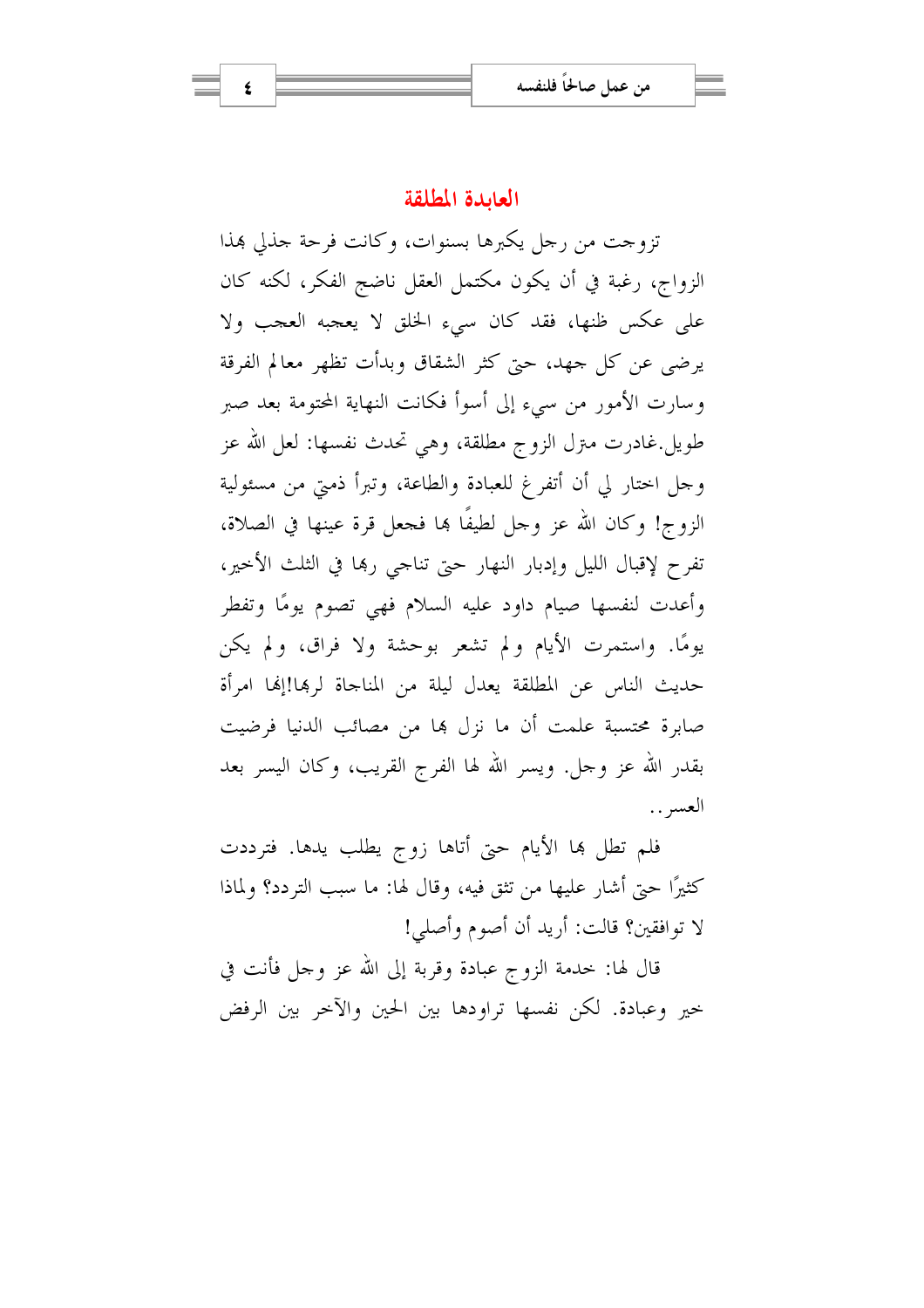#### العابدة المطلقة

تزوجت من رجل يكبرها بسنوات، وكانت فرحة جذلي بهذا الزواج، رغبة في أن يكون مكتمل العقل ناضج الفكر، لكنه كان على عكس ظنها، فقد كان سيء الخلق لا يعجبه العجب ولا يرضى عن كل جهد، حيّ كثر الشقاق وبدأت تظهر معالم الفرقة وسارت الأمور من سيء إلى أسوأ فكانت النهاية المحتومة بعد صبر طويل.غادرت مىزل الزوج مطلقة، وهي تحدث نفسها: لعل الله عز وجل احتار لي أن أتفرغ للعبادة والطاعة، وتبرأ ذمتي من مسئولية الزوج! وكان الله عز وحل لطيفًا ها فجعل قرة عينها في الصلاة، تفرح لإقبال الليل وإدبار النهار حتى تناحي رها في الثلث الأخير، وأعدت لنفسها صيام داود عليه السلام فهي تصوم يومًا وتفطر يومًا. واستمرت الأيام ولم تشعر بوحشة ولا فراق، ولم يكن حديث الناس عن المطلقة يعدل ليلة من المناجاة لربها!إلها امرأة صابرة محتسبة علمت أن ما نزل ها من مصائب الدنيا فرضيت بقدر الله عز وحل. ويسر الله لها الفرج القريب، وكان اليسر بعد العسر ..

فلم تطل ها الأيام حتى أتاها زوج يطلب يدها. فترددت كثيرًا حتى أشار عليها من تثق فيه، وقال لها: ما سبب التردد؟ ولماذا لا توافقين؟ قالت: أريد أن أصوم وأصلي!

قال لها: خدمة الزوج عبادة وقربة إلى الله عز وجل فأنت في حير وعبادة. لكن نفسها تراودها بين الحين والآحر بين الرفض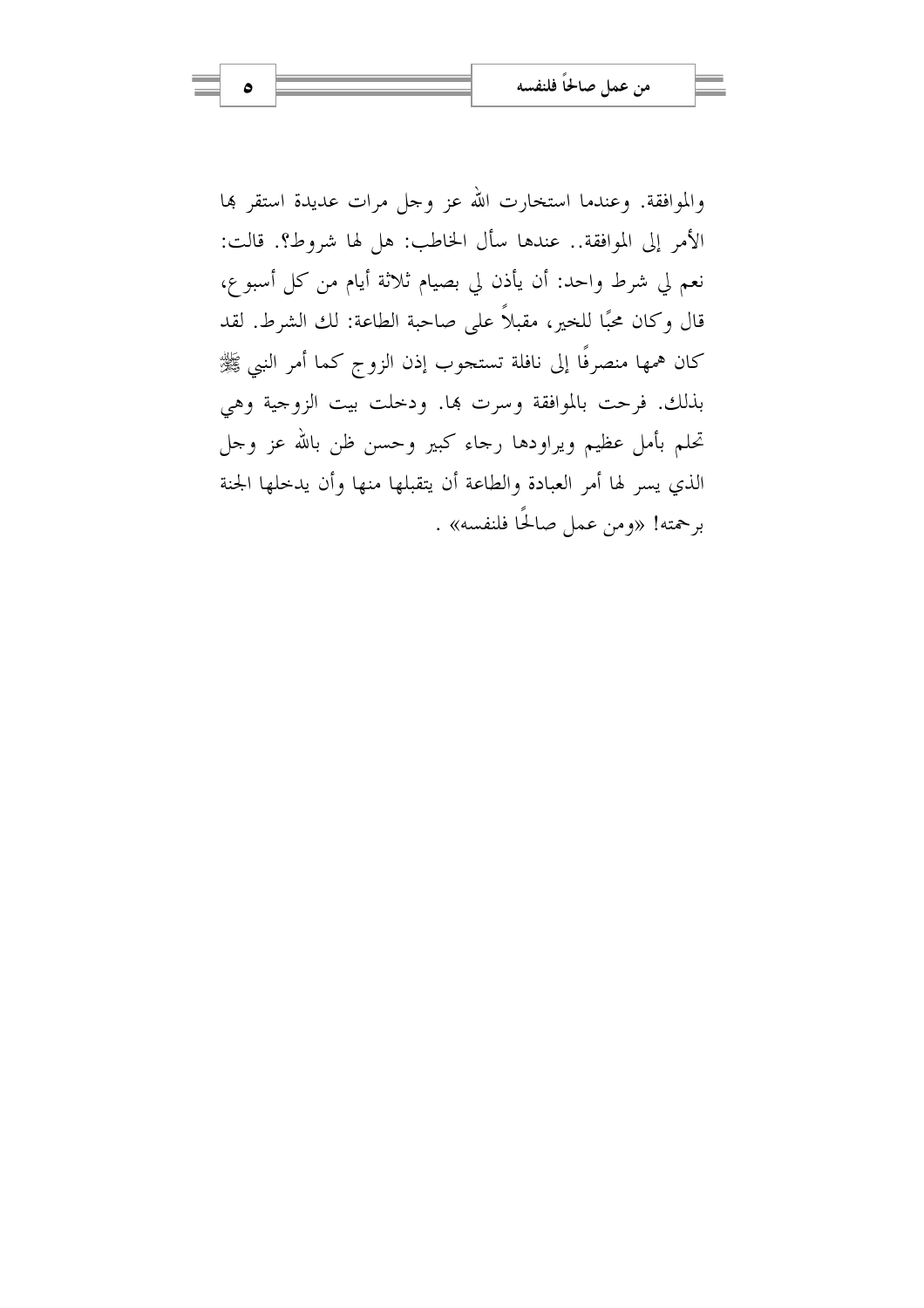والموافقة. وعندما استخارت الله عز وجل مرات عديدة استقر بما الأمر إلى الموافقة.. عندها سأل الخاطب: هل لها شروط؟. قالت: نعم لي شرط واحد: أن يأذن لي بصيام ثلاثة أيام من كل أسبو ع، قال وكان محبًا للخير، مقبلاً على صاحبة الطاعة: لك الشرط. لقد كان همها منصرفًا إلى نافلة تستحوب إذن الزوج كما أمر النبي ﷺ بذلك. فرحت بالموافقة وسرت بما. ودحلت بيت الزوجية وهي تحلم بأمل عظيم ويراودها رحاء كبير وحسن ظن بالله عز وحل الذي يسر لها أمر العبادة والطاعة أن يتقبلها منها وأن يدخلها الجنة برحمته! «ومن عمل صالحًا فلنفسه» .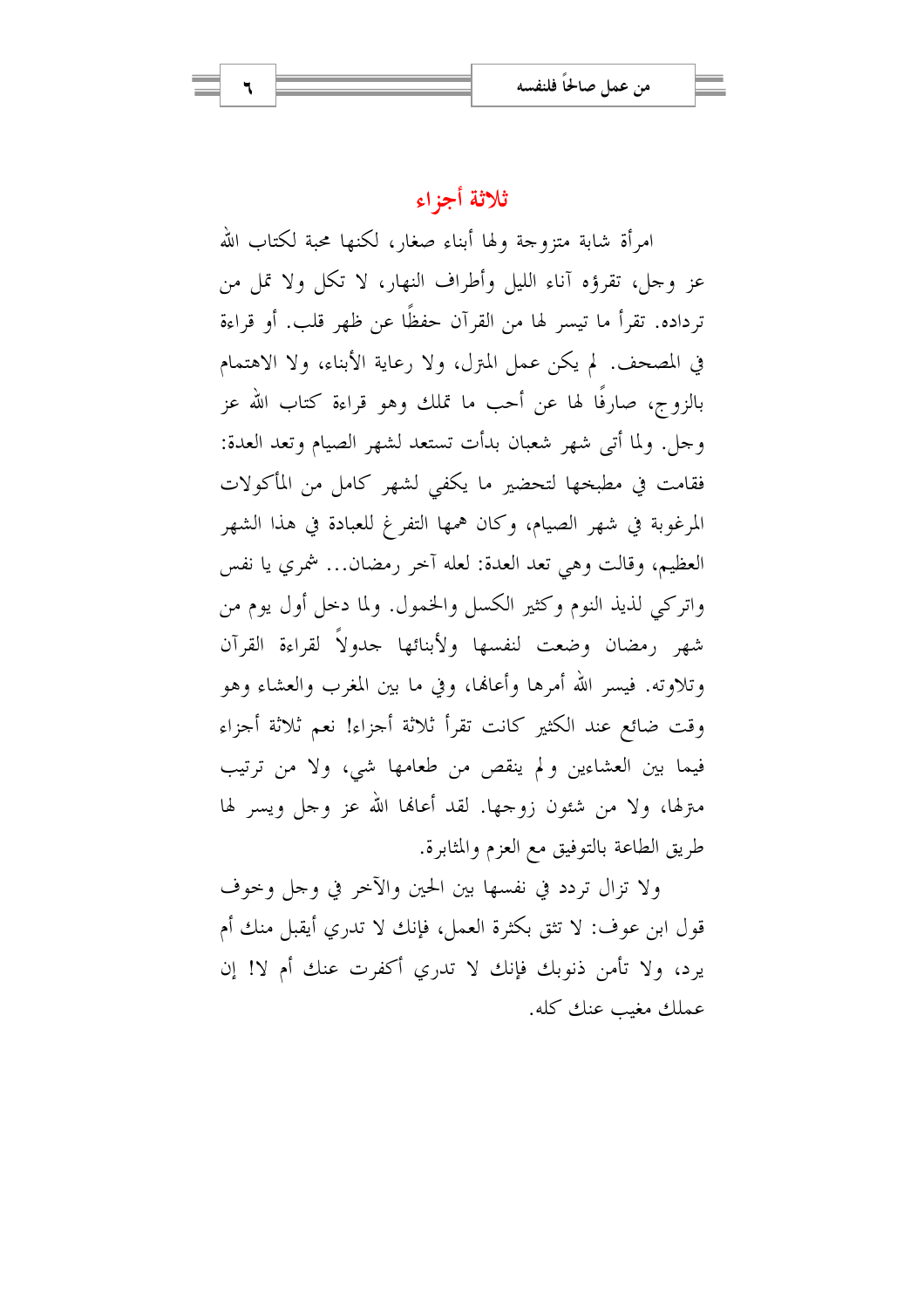## ثلاثة أجزاء

امرأة شابة متزوجة ولها أبناء صغار، لكنها محبة لكتاب الله عز وجل، تقرؤه آناء الليل وأطراف النهار، لا تكل ولا تمل من ترداده. تقرأ ما تيسر لها من القرآن حفظًا عن ظهر قلب. أو قراءة في المصحف. لم يكن عمل المترل، ولا رعاية الأبناء، ولا الاهتمام بالزوج، صارفًا لها عن أحب ما تملك وهو قراءة كتاب الله عز وجل. ولما أتى شهر شعبان بدأت تستعد لشهر الصيام وتعد العدة: فقامت في مطبخها لتحضير ما يكفي لشهر كامل من المأكولات المرغوبة في شهر الصيام، وكان همها التفرغ للعبادة في هذا الشهر العظيم، وقالت وهي تعد العدة: لعله آخر رمضان... شمري يا نفس واتركي لذيذ النوم وكثير الكسل والخمول. ولما دخل أول يوم من شهر رمضان وضعت لنفسها ولأبنائها حدولاً لقراءة القرآن وتلاوته. فيسر الله أمرها وأعالها، وفي ما بين المغرب والعشاء وهو وقت ضائع عند الكثير كانت تقرأ ثلاثة أجزاء! نعم ثلاثة أجزاء فيما بين العشاءين ولم ينقص من طعامها شي، ولا من ترتيب مترلها، ولا من شئون زوجها. لقد أعالها الله عز وجل ويسر لها طريق الطاعة بالتوفيق مع العزم والمثابرة.

ولا تزال تردد في نفسها بين الحين والآخر في وجل وحوف قول ابن عوف: لا تثق بكثرة العمل، فإنك لا تدري أيقبل منك أم يرد، ولا تأمن ذنوبك فإنك لا تدري أكفرت عنك أم لا! إن عملك مغيب عنك كله.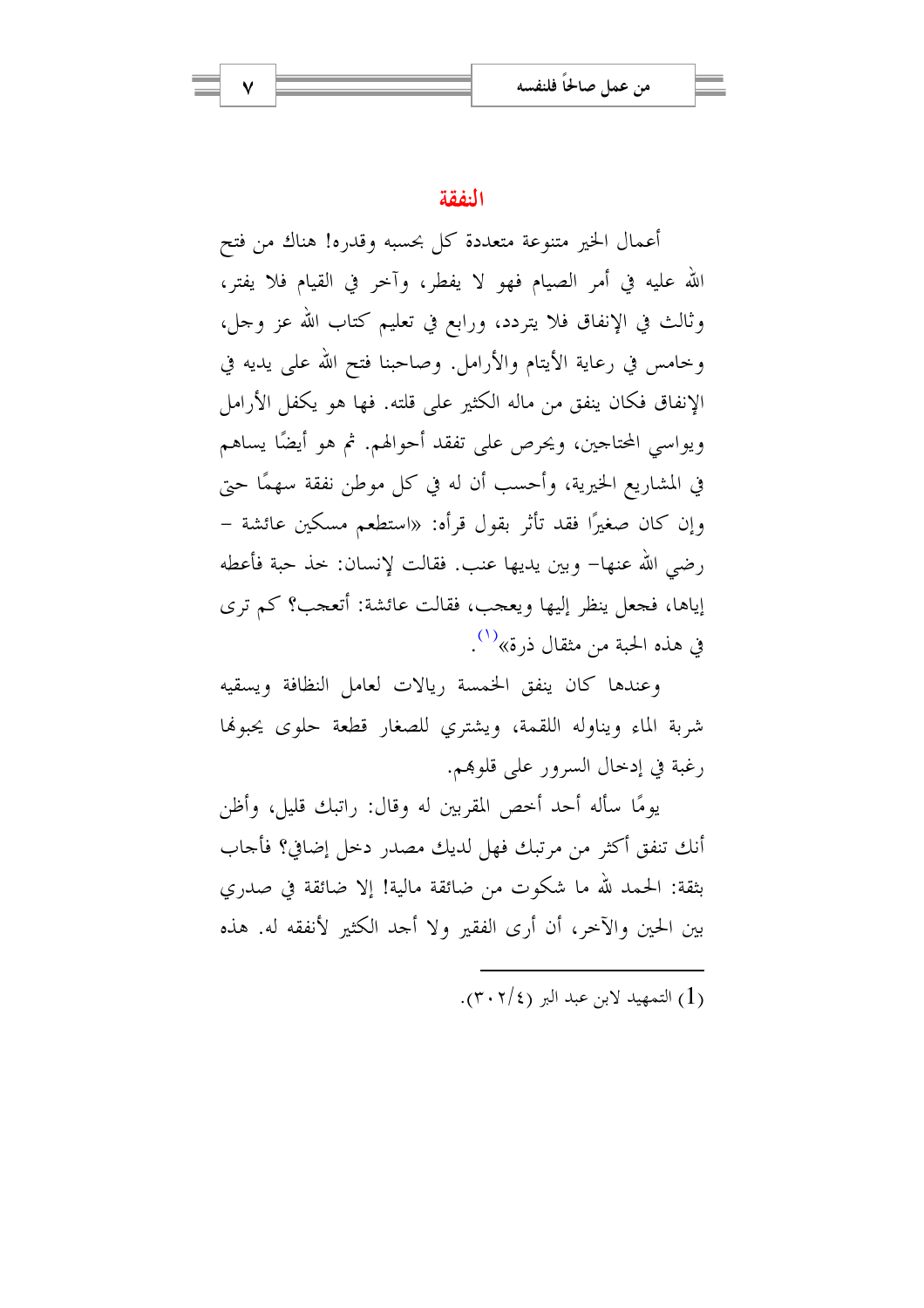#### النفقة

أعمال الخير متنوعة متعددة كل بحسبه وقدره! هناك من فتح الله عليه في أمر الصيام فهو لا يفطر، وآخر في القيام فلا يفتر، وثالث في الإنفاق فلا يتردد، ورابع في تعليم كتاب الله عز وحل، وخامس في رعاية الأيتام والأرامل. وصاحبنا فتح الله على يديه في الإنفاق فكان ينفق من ماله الكثير على قلته. فها هو يكفل الأرامل ويواسي المحتاجين، ويحرص على تفقد أحوالهم. ثم هو أيضًا يساهم في المشاريع الخيرية، وأحسب أن له في كل موطن نفقة سهمًا حيّ وإن كان صغيرًا فقد تأثَّر بقول قرأه: «استطعم مسكين عائشة – رضي الله عنها– وبين يديها عنب. فقالت لإنسان: حذ حبة فأعطه إياها، فجعل ينظر إليها ويعجب، فقالت عائشة: أتعجب؟ كم ترى في هذه الحبة من مثقال ذرة»<sup>(١)</sup>.

وعندها كان ينفق الخمسة ريالات لعامل النظافة ويسقيه شربة الماء ويناوله اللقمة، ويشتري للصغار قطعة حلوى يحبوها رغبة في إدخال السرور على قلوهم.

يومًا سأله أحد أخص المقربين له وقال: راتبك قليل، وأظن أنك تنفق أكثر من مرتبك فهل لديك مصدر دحل إضافي؟ فأجاب بثقة: الحمد لله ما شكوت من ضائقة مالية! إلا ضائقة في صدري بين الحين والآخر، أن أرى الفقير ولا أحد الكثير لأنفقه له. هذه

(1) التمهيد لابن عبد البر (٢/٤١).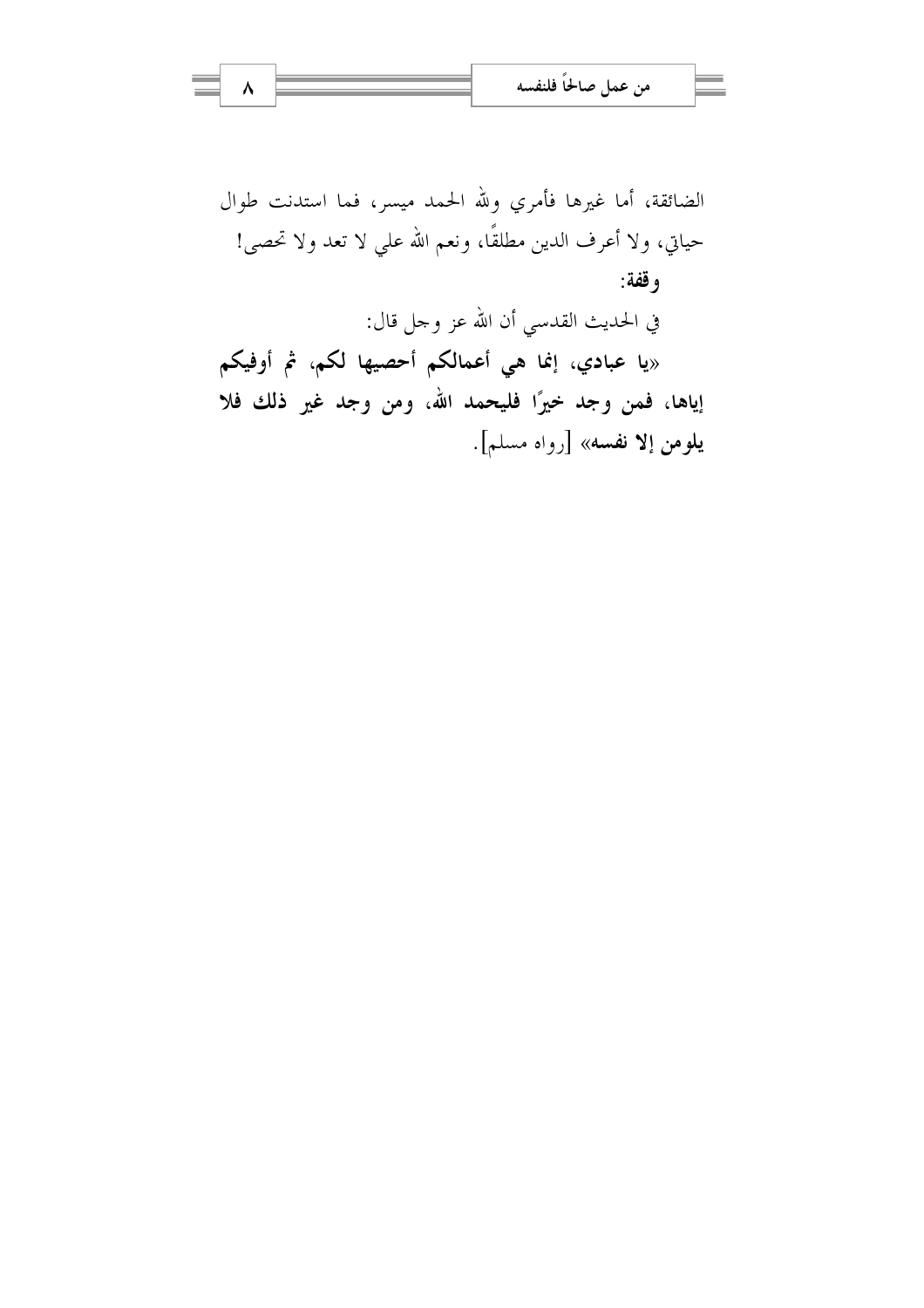من عمل صالحاً فلنفسه  $\lambda$ 

الضائقة، أما غيرها فأمري ولله الحمد ميسر، فما استدنت طوال حياتي، ولا أعرف الدين مطلقًا، ونعم الله علي لا تعد ولا تحصى! وقفة: في الحديث القدسي أن الله عز وحل قال: «يا عبادي، إنما هي أعمالكم أحصيها لكم، ثم أوفيكم إياها، فمن وجد خيرًا فليحمد الله، ومن وجد غير ذلك فلا يلومن إلا نفسه» [رواه مسلم].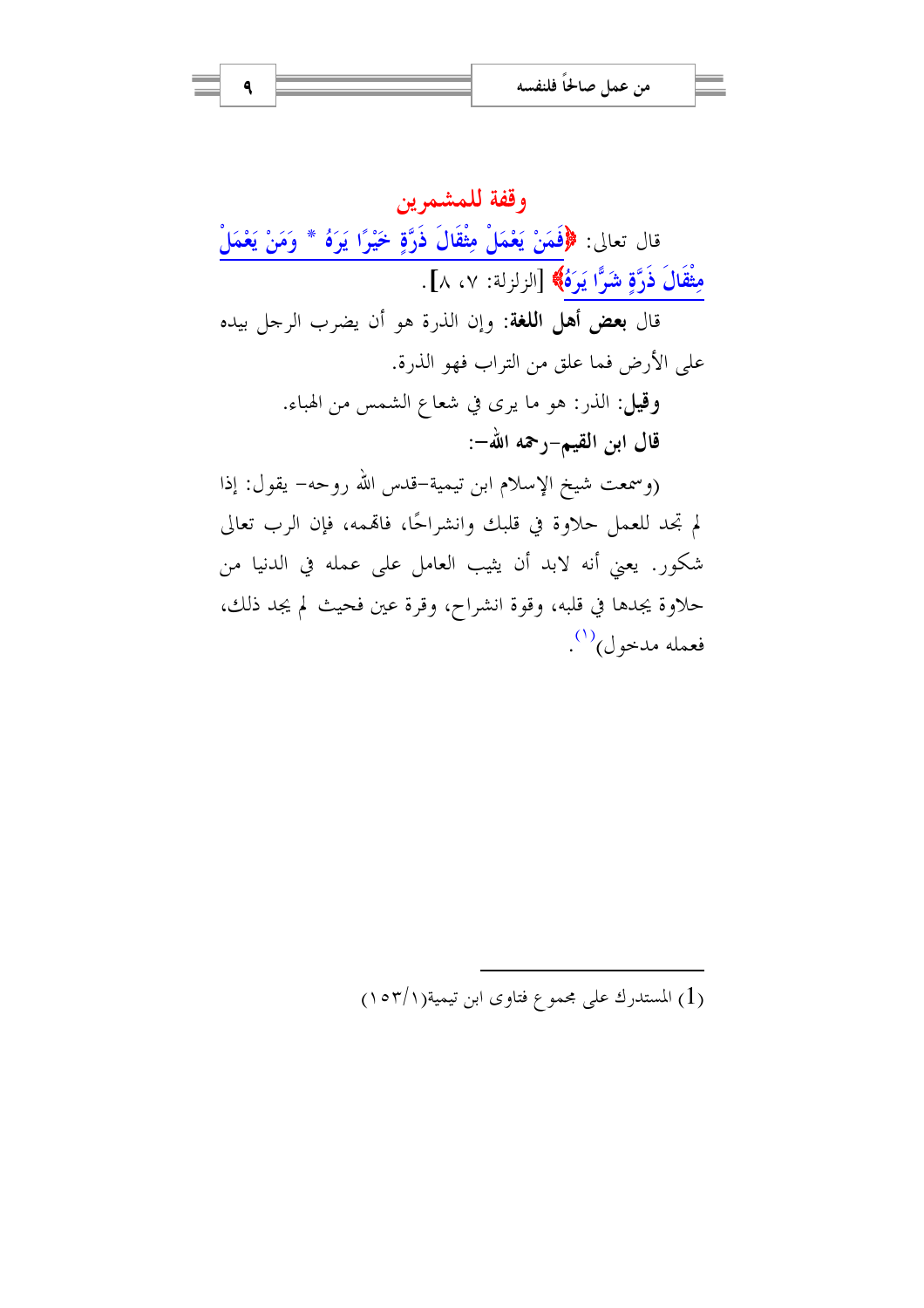٩

وقفة للمشمرين قال تعالى: ﴿فَعَمَنْ يَعْمَلْ مِثْقَالَ ذَرَّةٍ خَيْرًا يَرَهُ \* وَمَنْ يَعْمَلُ مِثْقَالَ ذَرَّةٍ شَرًّا يَرَهُ) [الزلزلة: ٧، ٨].

قال بعض أهل اللغة: وإن الذرة هو أن يضرب الرجل بيده على الأرض فما علق من التراب فهو الذرة.

> وقيل: الذر: هو ما يرى في شعاع الشمس من الهباء. قال ابن القيم-رحمه الله-:

(وسمعت شيخ الإسلام ابن تيمية–قدس الله روحه– يقول: إذا لم تحد للعمل حلاوة في قلبك وانشراحًا، فالهمه، فإن الرب تعالى شكور. يعني أنه لابد أن يثيب العامل على عمله في الدنيا من حلاوة يجدها في قلبه، وقوة انشراح، وقرة عين فحيث لم يجد ذلك، فعمله مدخول)(١)

(1) المستدرك على مجموع فتاوى ابن تيمية(١٥٣/١)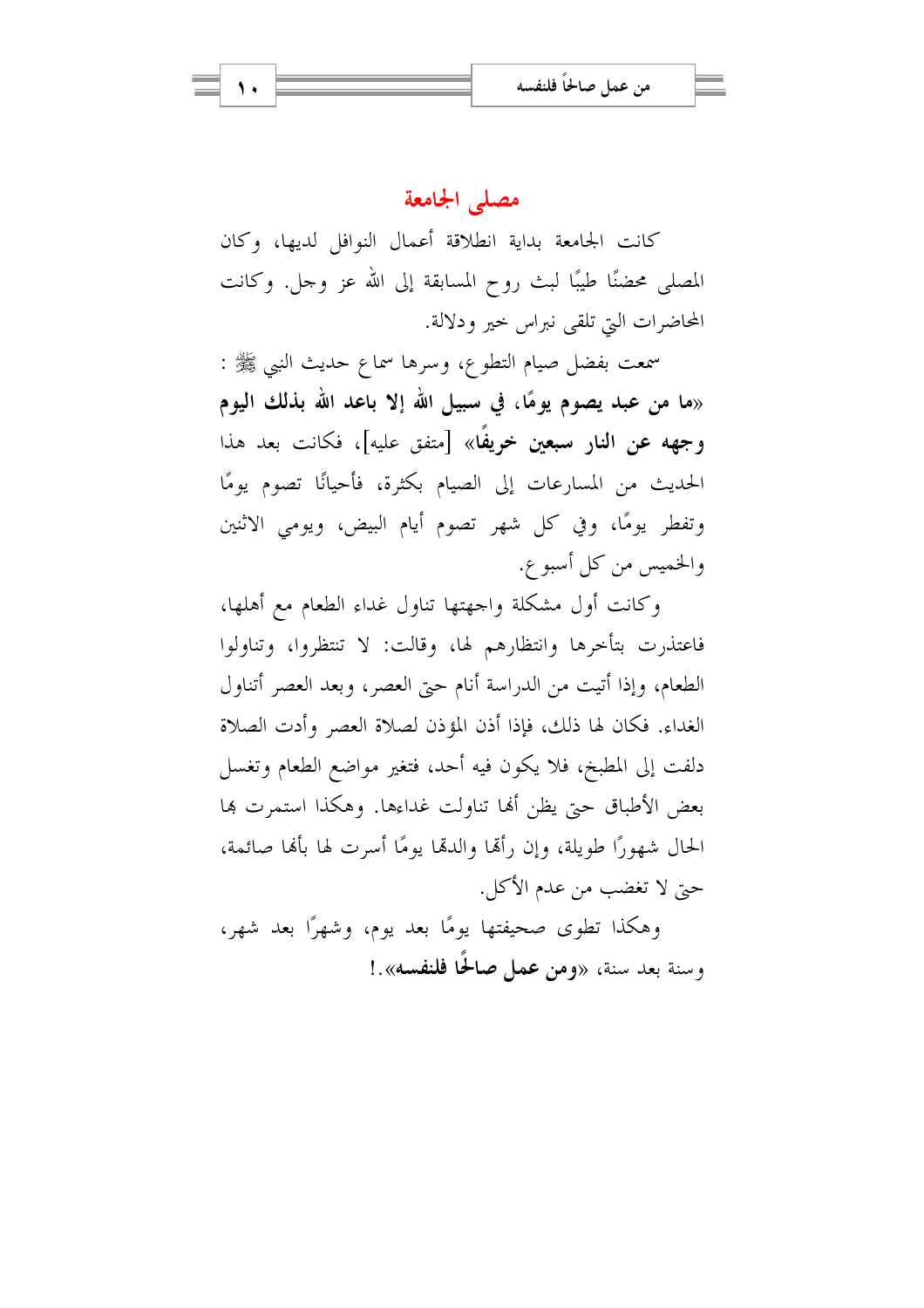## مصلى الجامعة

كانت الجامعة بداية انطلاقة أعمال النوافل لديها، وكان المصلى محضنًا طيبًا لبث روح المسابقة إلى الله عز وحل. وكانت المحاضرات التي تلقى نبراس خير ودلالة.

سمعت بفضل صيام التطوع، وسرها سماع حديث النبي ﷺ : «ما من عبد يصوم يومًا، في سبيل الله إلا باعد الله بذلك اليوم وجهه عن النار سبعين خريفًا» [متفق عليه]، فكانت بعد هذا الحديث من المسارعات إلى الصيام بكثرة، فأحيانًا تصوم يومًا وتفطر يومًا، وفي كل شهر تصوم أيام البيض، ويومى الاثنين والخميس من كل أسبو ع.

وكانت أول مشكلة واجهتها تناول غداء الطعام مع أهلها، فاعتذرت بتأحرها وانتظارهم لها، وقالت: لا تنتظروا، وتناولوا الطعام، وإذا أتيت من الدراسة أنام حيّ العصر، وبعد العصر أتناول الغداء. فكان لها ذلك، فإذا أذن المؤذن لصلاة العصر وأدت الصلاة دلفت إلى المطبخ، فلا يكون فيه أحد، فتغير مواضع الطعام وتغسل بعض الأطباق حتى يظن ألها تناولت غداءها. وهكذا استمرت هما الحال شهورًا طويلة، وإن رأهًا والدهّا يومًا أسرت لها بأهًا صائمة، حيّ لا تغضب من عدم الأكل.

وهكذا تطوى صحيفتها يومًا بعد يوم، وشهرًا بعد شهر، وسنة بعد سنة، «ومن عمل صالحًا فلنفسه».!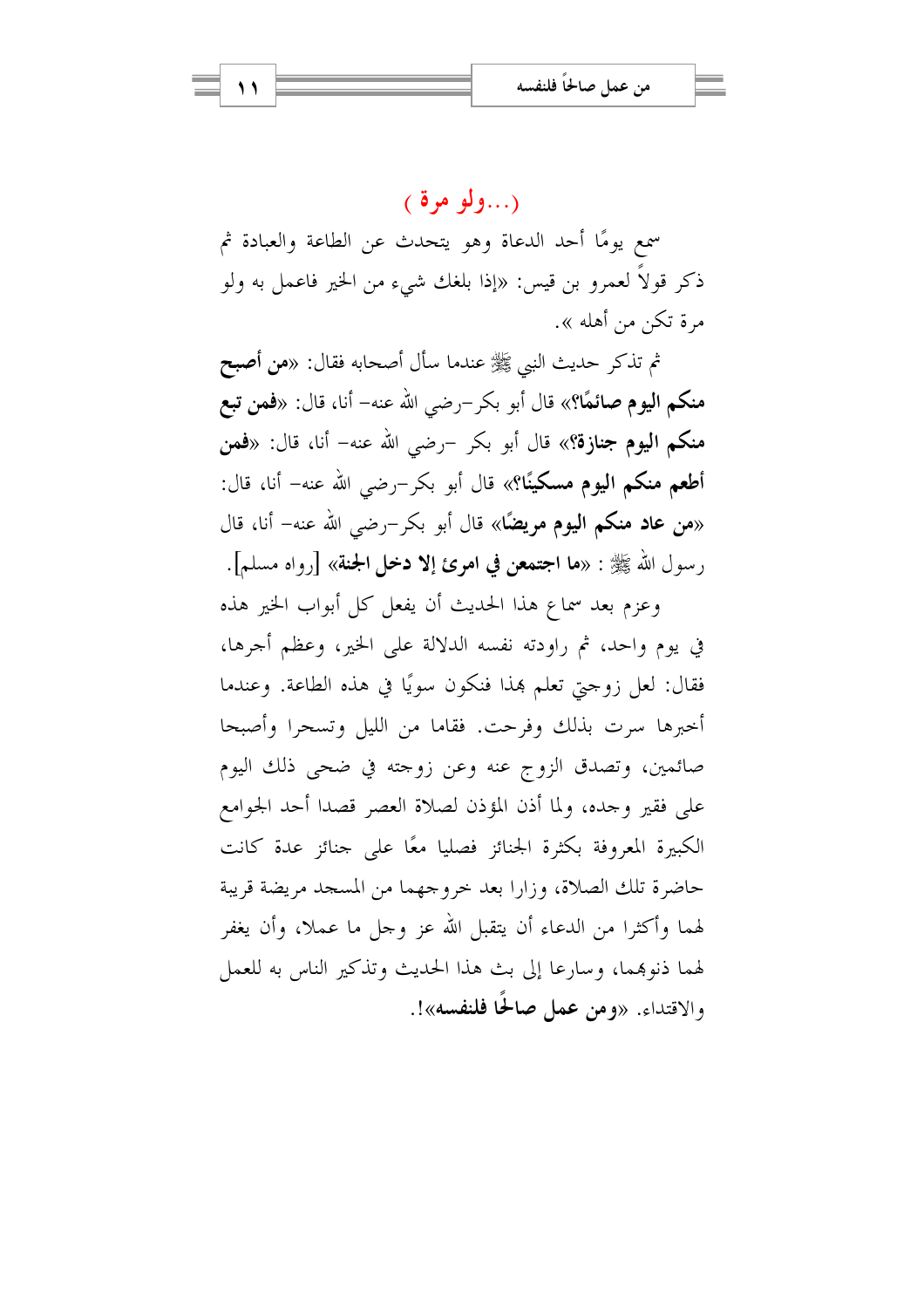## (...ولو مرة )

سمع يومًا أحد الدعاة وهو يتحدث عن الطاعة والعبادة ثم ذكر قولاً لعمرو بن قيس: «إذا بلغك شيء من الخير فاعمل به ولو مرة تكن من أهله ».

ثم تذكر حديث النبي ﷺ عندما سأل أصحابه فقال: «من أصبح منكم اليوم صائمًا؟» قال أبو بكر–رضي الله عنه– أنا، قال: «فمن تبع منكم اليوم جنازة؟» قال أبو بكر –رضي الله عنه– أنا، قال: «فمن أطعم منكم اليوم مسكينًا؟» قال أبو بكر–رضي الله عنه– أنا، قال: «من عاد منكم اليوم مريضًا» قال أبو بكر–رضي الله عنه– أنا، قال رسول الله ﷺ : «ما اجتمعن في امرئ إلا دخل الجنة» [رواه مسلم].

وعزم بعد سماع هذا الحديث أن يفعل كل أبواب الخير هذه في يوم واحد، ثم راودته نفسه الدلالة على الخير، وعظم أجرها، فقال: لعل زوجتي تعلم بمذا فنكون سويًا في هذه الطاعة. وعندما أحبرها سرت بذلك وفرحت. فقاما من الليل وتسحرا وأصبحا صائمين، وتصدق الزوج عنه وعن زوجته في ضحى ذلك اليوم على فقيرٍ وجده، ولما أذن المؤذن لصلاة العصر قصدا أحد الجوامع الكبيرة المعروفة بكثرة الجنائز فصليا معًا على جنائز عدة كانت حاضرة تلك الصلاة، وزارا بعد حروجهما من المسجد مريضة قريبة لهما وأكثرا من الدعاء أن يتقبل الله عز وجل ما عملا، وأن يغفر لهما ذنوهِما، وسارعا إلى بث هذا الحديث وتذكير الناس به للعمل والاقتداء. «ومن عمل صالحًا فلنفسه»!.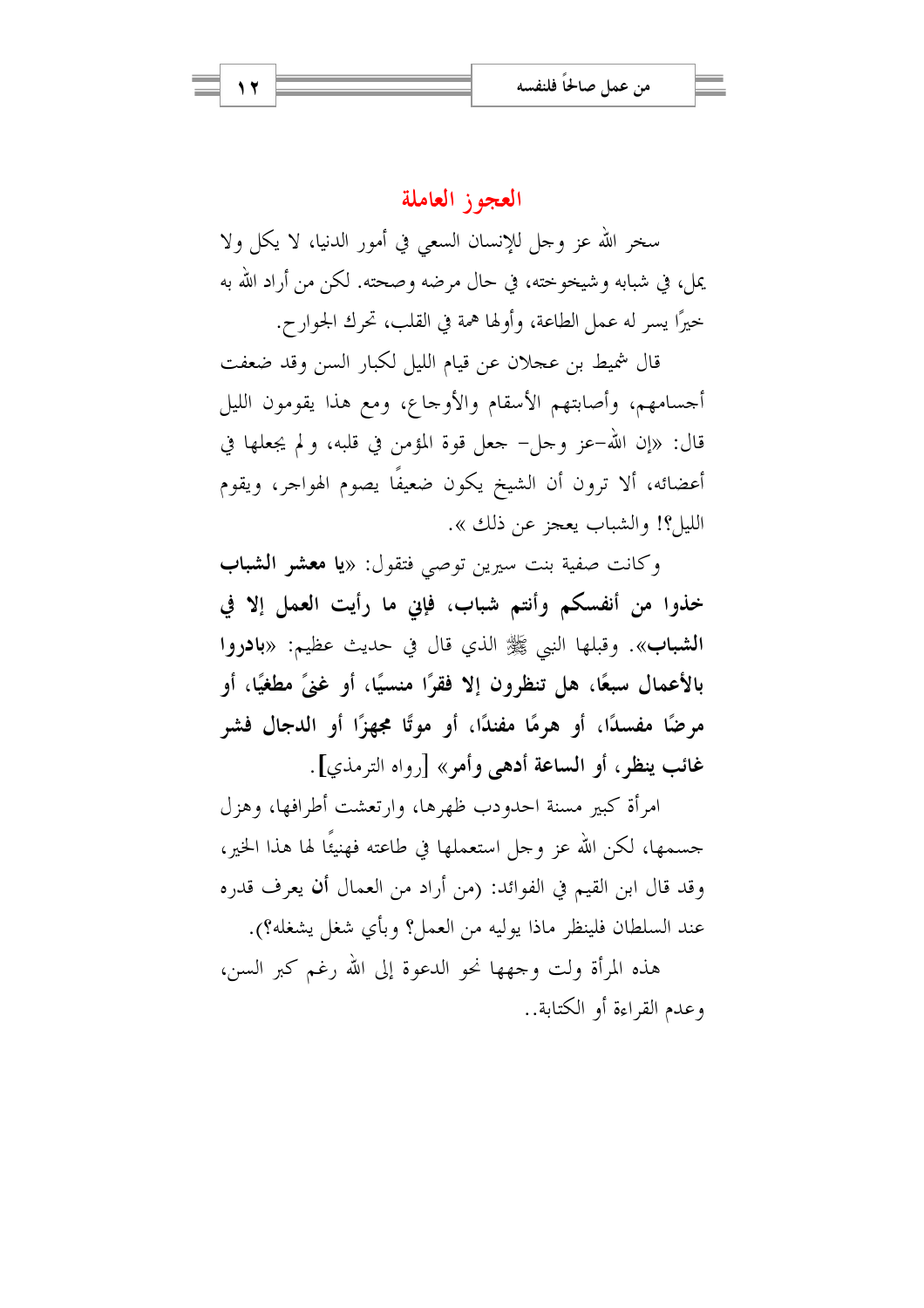#### العجوز العاملة

سخر الله عز وحل للإنسان السعي في أمور الدنيا، لا يكل ولا يمل، في شبابه و شيخو خته، في حال مرضه وصحته. لكن من أراد الله به خيرًا يسر له عمل الطاعة، وأولها همة في القلب، تحرك الجوارح.

قال شميط بن عجلان عن قيام الليل لكبار السن وقد ضعفت أجسامهم، وأصابتهم الأسقام والأوجاع، ومع هذا يقومون الليل قال: «إن الله–عز وحل– حعل قوة المؤمن في قلبه، و لم يجعلها في أعضائه، ألا ترون أن الشيخ يكون ضعيفًا يصوم الهواجر، ويقوم الليل؟! والشباب يعجز عن ذلك ».

وكانت صفية بنت سيرين توصى فتقول: «يا معشو الشباب خذوا من أنفسكم وأنتم شباب، فإني ما رأيت العمل إلا في الشباب». وقبلها النبي ﷺ الذي قال في حديث عظيم: «بادروا بالأعمال سبعًا، هل تنظرون إلا فقرًا منسيًا، أو غنيَّ مطغيًا، أو مرضًا مفسدًا، أو هرمًا مفندًا، أو موتًا مجهزًا أو الدجال فشر غائب ينظر ، أو الساعة أدهى وأمر» [رواه الترمذي].

امرأة كبير مسنة احدودب ظهرها، وارتعشت أطرافها، وهزل جسمها، لكن الله عز وجل استعملها في طاعته فهنيئًا لها هذا الخير، وقد قال ابن القيم في الفوائد: (من أراد من العمال أن يعرف قدره عند السلطان فلينظر ماذا يوليه من العمل؟ وبأى شغل يشغله؟).

هذه المرأة ولت وجهها نحو الدعوة إلى الله رغم كبر السن، وعدم القراءة أو الكتابة..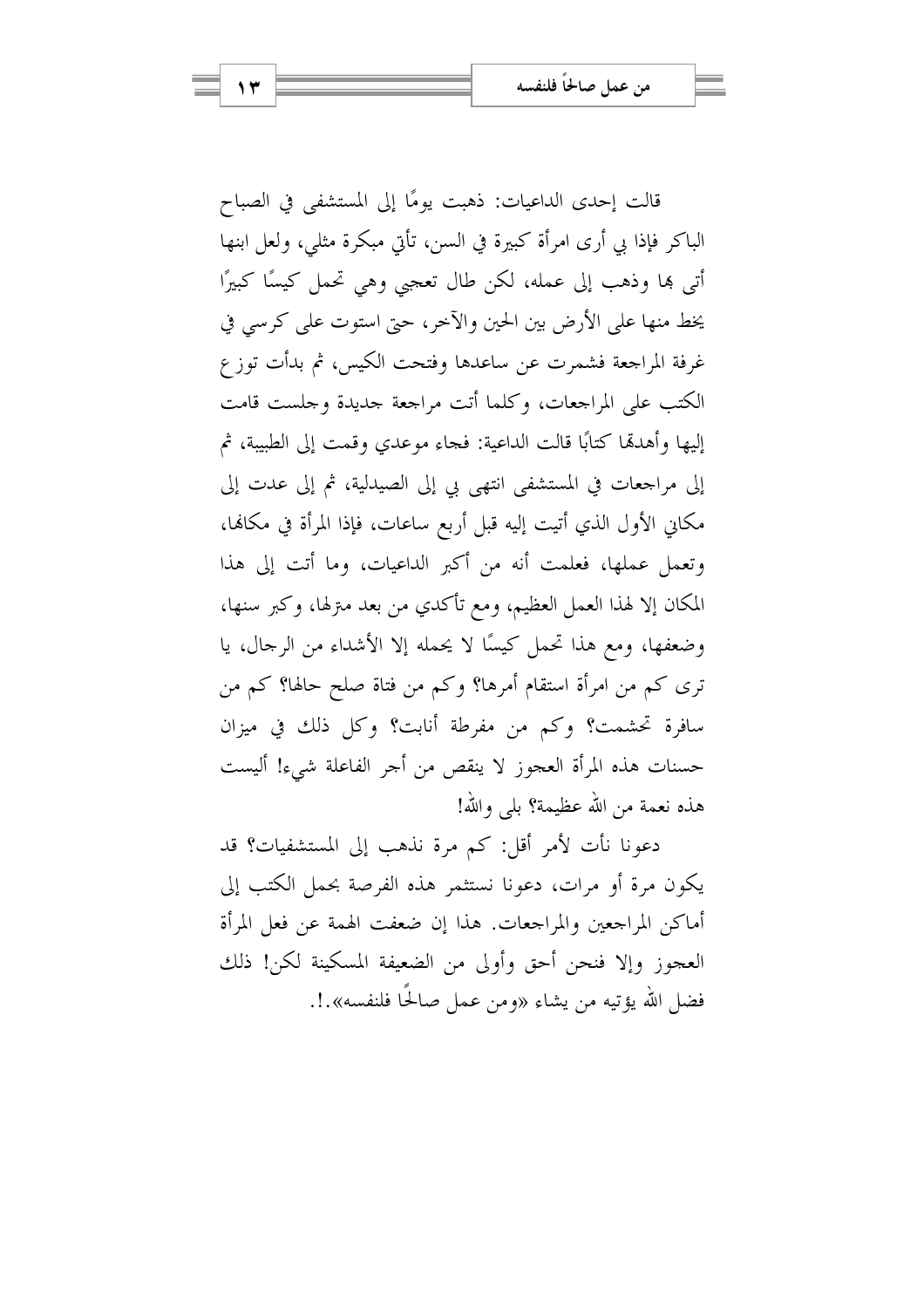قالت إحدى الداعيات: ذهبت يومًا إلى المستشفى في الصباح الباكر فإذا بي أرى امرأة كبيرة في السن، تأتي مبكرة مثلي، ولعل ابنها أتي بما وذهب إلى عمله، لكن طال تعجبي وهي تحمل كيسًا كبيرًا يخط منها على الأرض بين الحين والآخر، حتى استوت على كرسي في غرفة المراجعة فشمرت عن ساعدها وفتحت الكيس، ثم بدأت توزع الكتب على المراجعات، وكلما أتت مراجعة جديدة وجلست قامت إليها وأهدهما كتابًا قالت الداعية: فجاء موعدي وقمت إلى الطبيبة، ثم إلى مراجعات في المستشفى انتهى بي إلى الصيدلية، ثم إلى عدت إلى مكاني الأول الذي أتيت إليه قبل أربع ساعات، فإذا المرأة في مكانها، وتعمل عملها، فعلمت أنه من أكبر الداعيات، وما أتت إلى هذا المكان إلا لهذا العمل العظيم، ومع تأكدي من بعد مترلها، وكبر سنها، وضعفها، ومع هذا تحمل كيسًا لا يحمله إلا الأشداء من الرحال، يا ترى كم من امرأة استقام أمرها؟ وكم من فتاة صلح حالها؟ كم من سافرة تحشمت؟ وكم من مفرطة أنابت؟ وكل ذلك في ميزان حسنات هذه المرأة العجوز لا ينقص من أجر الفاعلة شيء! أليست هذه نعمة من الله عظيمة؟ بلي والله!

دعونا نأت لأمر أقل: كم مرة نذهب إلى المستشفيات؟ قد يكون مرة أو مرات، دعونا نستثمر هذه الفرصة بحمل الكتب إلى أماكن المراجعين والمراجعات. هذا إن ضعفت الهمة عن فعل المرأة العجوز وإلا فنحن أحق وأولى من الضعيفة المسكينة لكن! ذلك فضل الله يؤتيه من يشاء «ومن عمل صالحًا فلنفسه».!.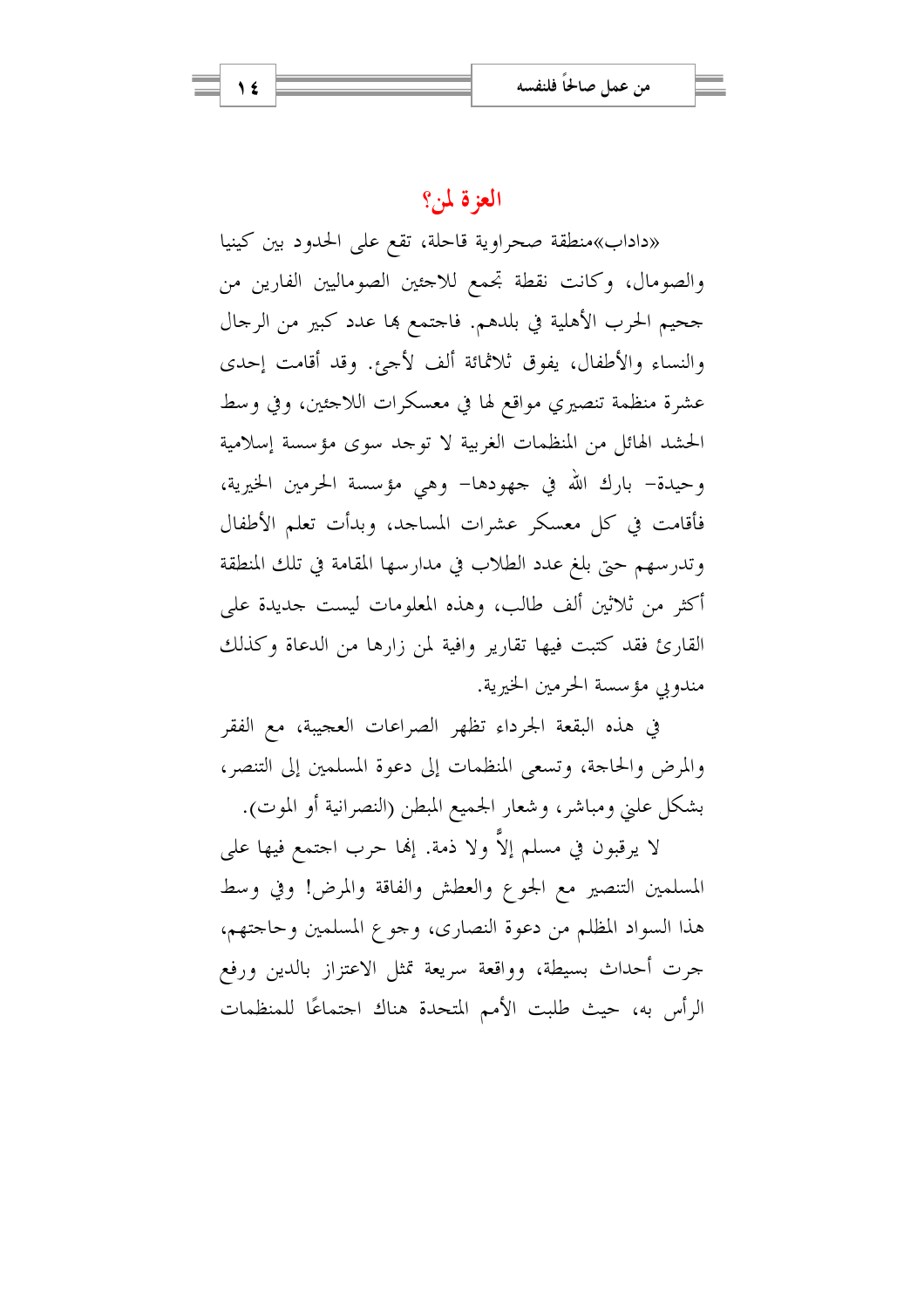## العزة لمن؟

«داداب»منطقة صحراوية قاحلة، تقع على الحدود بين كينيا والصومال، وكانت نقطة تجمع للاحئين الصوماليين الفارين من جحيم الحرب الأهلية في بلدهم. فاحتمع ها عدد كبير من الرحال والنساء والأطفال، يفوق ثلاثمائة ألف لأجئ. وقد أقامت إحدى عشرة منظمة تنصيري مواقع لها في معسكرات اللاجئين، وفي وسط الحشد الهائل من المنظمات الغربية لا توجد سوى مؤسسة إسلامية وحيدة– بارك الله في جهودها– وهي مؤسسة الحرمين الخيرية، فأقامت في كل معسكر عشرات المساجد، وبدأت تعلم الأطفال وتدرسهم حتى بلغ عدد الطلاب في مدارسها المقامة في تلك المنطقة أكثر من ثلاثين ألف طالب، وهذه المعلومات ليست جديدة على القارئ فقد كتبت فيها تقارير وافية لمن زارها من الدعاة وكذلك مندوبي مؤسسة الحرمين الخيرية.

في هذه البقعة الجرداء تظهر الصراعات العجيبة، مع الفقر والمرض والحاجة، وتسعى المنظمات إلى دعوة المسلمين إلى التنصر، بشكل علىٰ ومباشر، وشعار الجميع المبطن (النصرانية أو الموت).

لا يرقبون في مسلم إلاَّ ولا ذمة. إلها حرب اجتمع فيها على المسلمين التنصير مع الجوع والعطش والفاقة والمرض! وفي وسط هذا السواد المظلم من دعوة النصارى، وجوع المسلمين وحاجتهم، جرت أحداث بسيطة، وواقعة سريعة تمثل الاعتزاز بالدين ورفع الرأس به، حيث طلبت الأمم المتحدة هناك اجتماعًا للمنظمات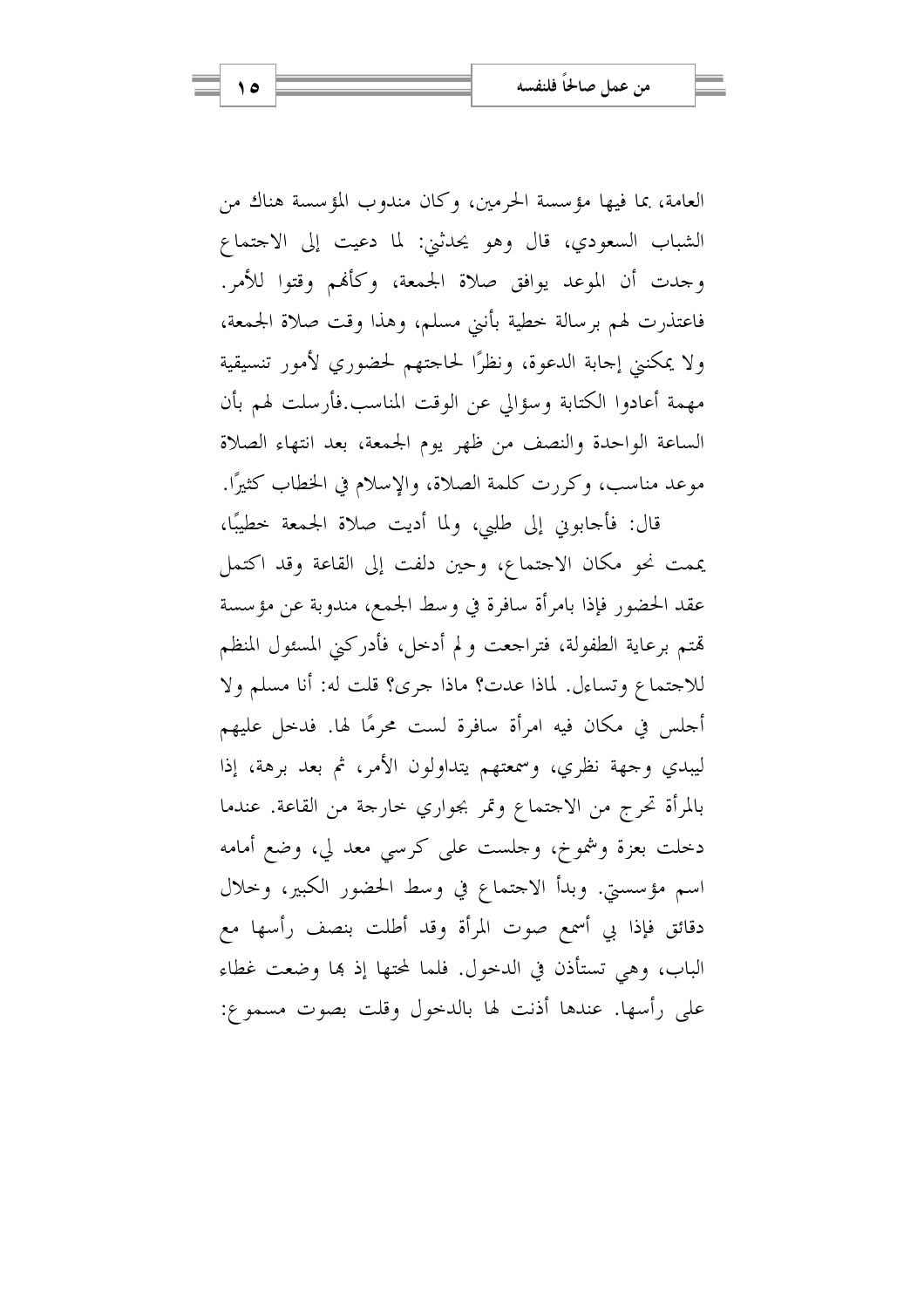العامة، بما فيها مؤسسة الحرمين، وكان مندوب المؤسسة هناك من الشباب السعودي، قال وهو يحدثني: لما دعيت إلى الاجتماع وجدت أن الموعد يوافق صلاة الجمعة، وكألهم وقتوا للأمر. فاعتذرت لهم برسالة حطية بأنني مسلم، وهذا وقت صلاة الجمعة، ولا يمكنني إجابة الدعوة، ونظرًا لحاجتهم لحضوري لأمور تنسيقية مهمة أعادوا الكتابة وسؤالي عن الوقت المناسب فأرسلت لهم بأن الساعة الواحدة والنصف من ظهر يوم الجمعة، بعد انتهاء الصلاة موعد مناسب، وكررت كلمة الصلاة، والإسلام في الخطاب كثيرًا.

قال: فأجابوني إلى طلبي، ولما أديت صلاة الجمعة حطيبًا، يممت نحو مكان الاحتماع، وحين دلفت إلى القاعة وقد اكتمل عقد الحضور فإذا بامرأة سافرة في وسط الجمع، مندوبة عن مؤسسة تمتم برعاية الطفولة، فتراجعت ولم أدخل، فأدركني المسئول المنظم للاجتماع وتساءل. لماذا عدت؟ ماذا جرى؟ قلت له: أنا مسلم ولا أجلس في مكان فيه امرأة سافرة لست محرمًا لها. فدخل عليهم ليبدي وجهة نظري، وسمعتهم يتداولون الأمر، ثم بعد برهة، إذا بالمرأة تحرج من الاحتماع وتمر بجواري حارجة من القاعة. عندما دخلت بعزة وشموخ، وجلست على كرسي معد لي، وضع أمامه اسم مؤسستي. وبدأ الاحتماع في وسط الحضور الكبير، وحلال دقائق فإذا بي أسمع صوت المرأة وقد أطلت بنصف رأسها مع الباب، وهي تستأذن في الدخول. فلما لمحتها إذ ها وضعت غطاء على رأسها. عندها أذنت لها بالدحول وقلت بصوت مسموع: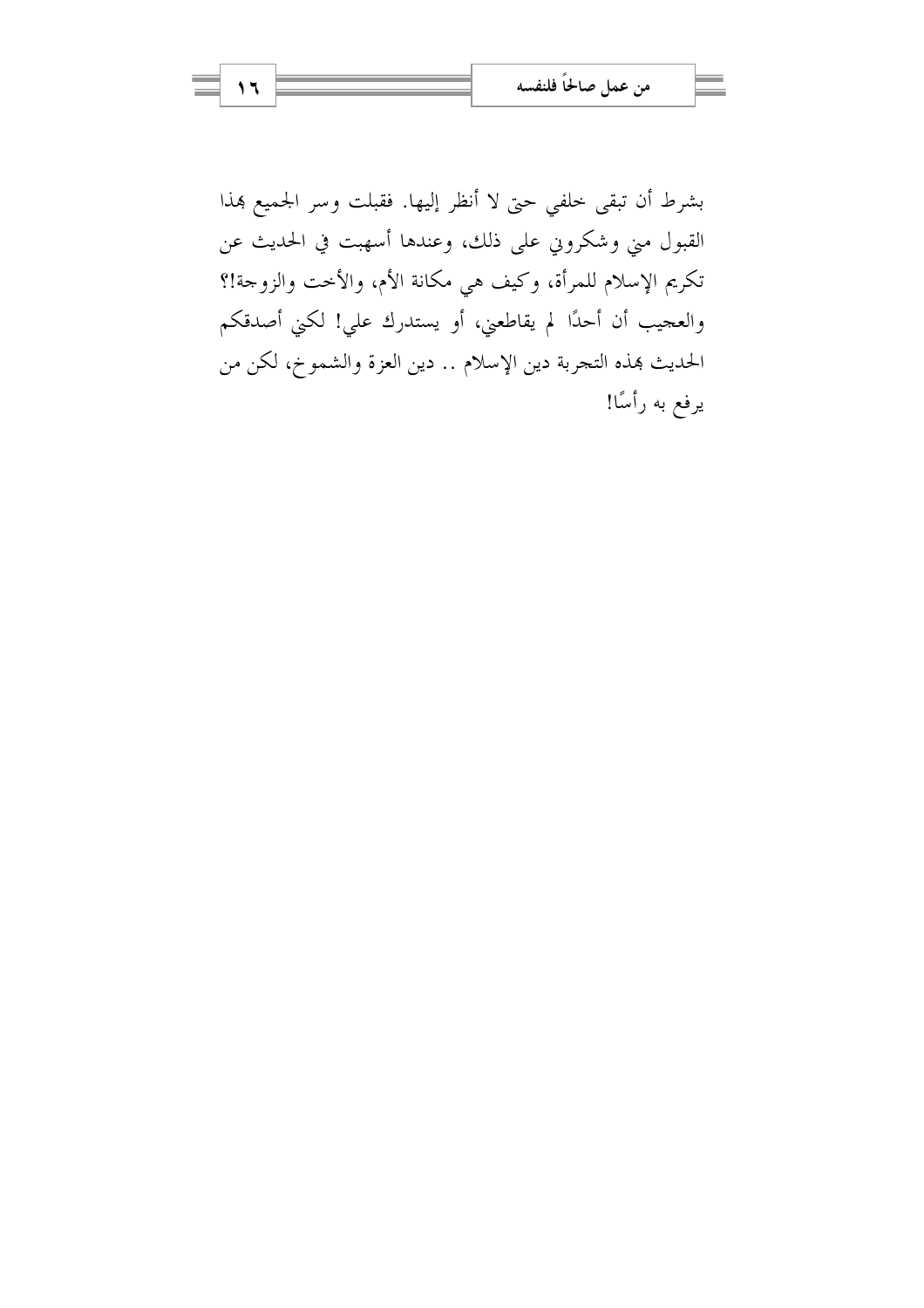بشرط أن تبقى خلفى حتى لا أنظر إليها. فقبلت وسر الجميع بمذا القبول مني وشكروني على ذلك، وعندها أسهبت في الحديث عن تكريم الإسلام للمرأة، وكيف هي مكانة الأم، والأخت والزوجة!؟ والعجيب أن أحدًا لم يقاطعني، أو يستدرك علي! لكني أصدقكم الحديث هذه التجربة دين الإسلام .. دين العزة والشموخ، لكن من یرفع به رأسًا!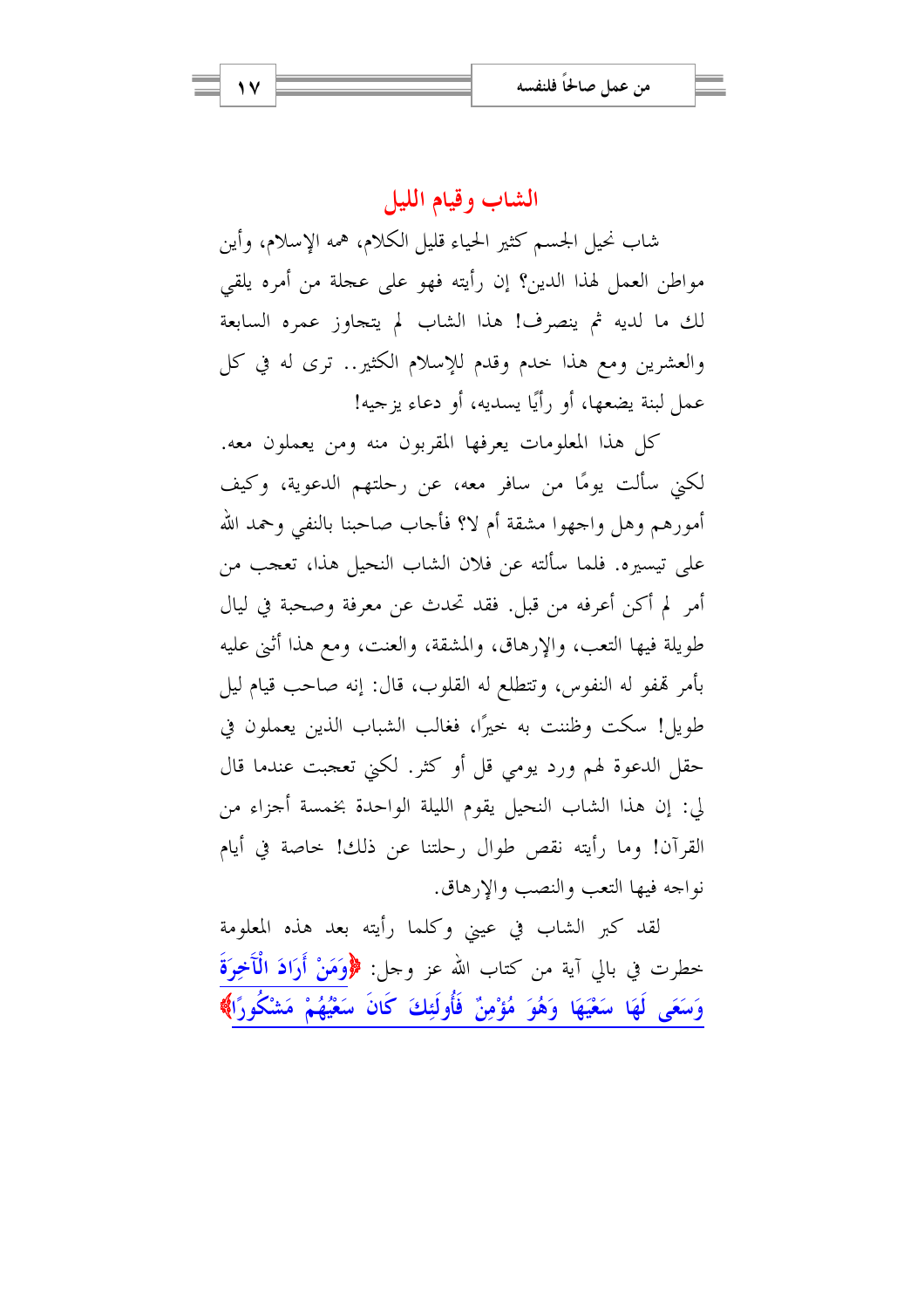## الشاب وقيام الليل

شاب نحيل الجسم كثير الحياء قليل الكلام، همه الإسلام، وأين مواطن العمل لهذا الدين؟ إن رأيته فهو على عجلة من أمره يلقى لك ما لديه ثم ينصرف! هذا الشاب لم يتجاوز عمره السابعة والعشرين ومع هذا حدم وقدم للإسلام الكثير.. ترى له في كل عمل لبنة يضعها، أو رأيًا يسديه، أو دعاء يزجيه!

كل هذا المعلومات يعرفها المقربون منه ومن يعملون معه. لكين سألت يومًا من سافر معه، عن رحلتهم الدعوية، وكيف أمورهم وهل واجهوا مشقة أم لا؟ فأجاب صاحبنا بالنفي وحمد الله على تيسيره. فلما سألته عن فلان الشاب النحيل هذا، تعجب من أمرٍ لم أكن أعرفه من قبل. فقد تحدث عن معرفة وصحبة في ليال طويلة فيها التعب، والإرهاق، والمشقة، والعنت، ومع هذا أثنى عليه بأمر تمفو له النفوس، وتتطلع له القلوب، قال: إنه صاحب قيام ليل طويل! سكت وظننت به حيرًا، فغالب الشباب الذين يعملون في حقل الدعوة لهم ورد يومي قل أو كثر. لكني تعجبت عندما قال لى: إن هذا الشاب النحيل يقوم الليلة الواحدة بخمسة أجزاء من القرآن! وما رأيته نقص طوال رحلتنا عن ذلك! خاصة في أيام نواجه فيها التعب والنصب والإرهاق.

لقد كبر الشاب في عيني وكلما رأيته بعد هذه المعلومة حطرت في بالي آية من كتاب الله عز وجل: ﴿وَمَنْ أَرَادَ الْمَأْخِرَةَ وَسَعَى لَهَا سَعْيَهَا وَهُوَ مُؤْمِنٌ فَأُولَئِكَ كَانَ سَعْيُهُمْ مَشْكُورًا}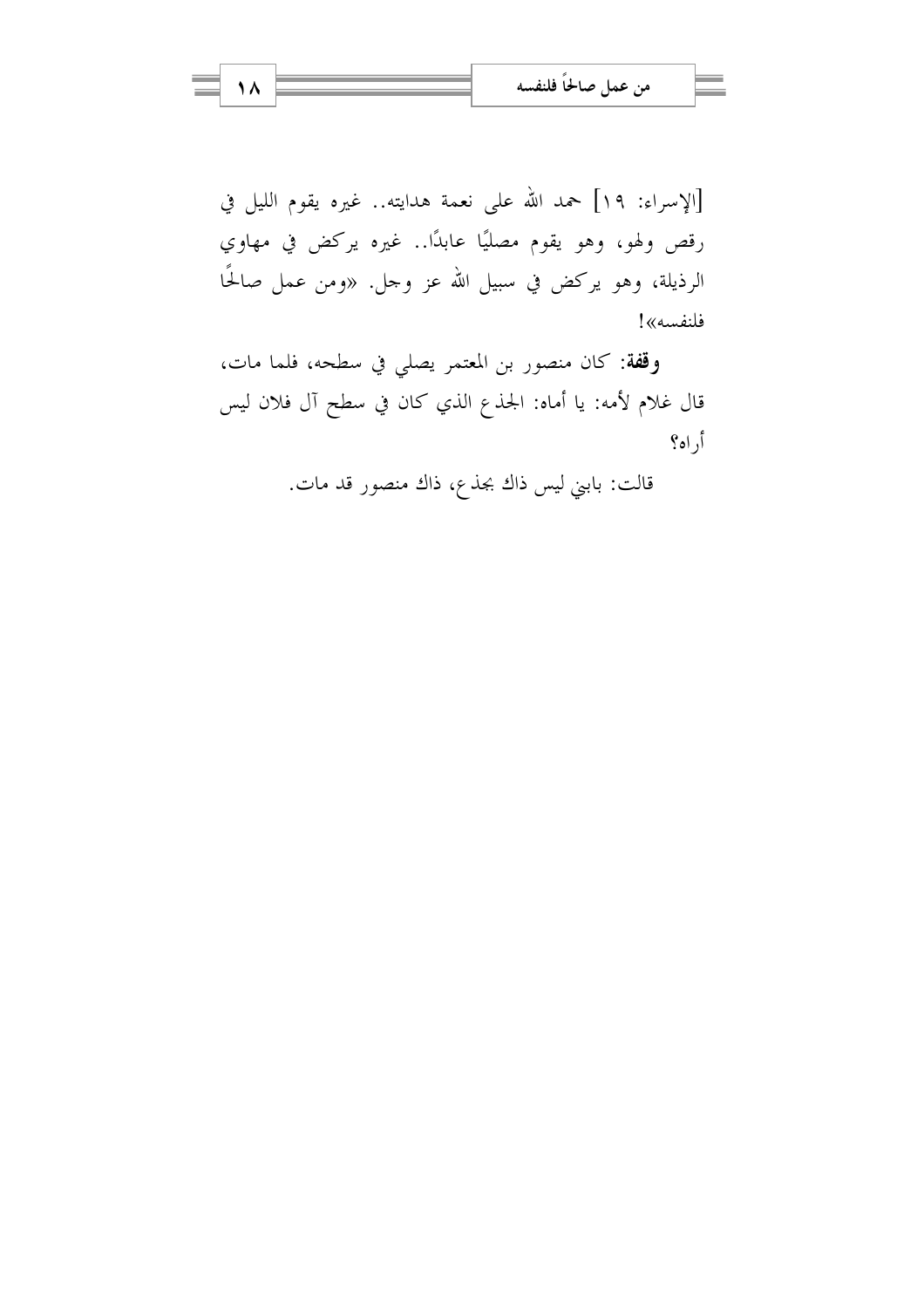[الإسراء: ١٩] حمد الله على نعمة هدايته.. غيره يقوم الليل في رقص ولهو، وهو يقوم مصليًا عابدًا.. غيره يركض في مهاوي الرذيلة، وهو يركض في سبيل الله عز وجل. «ومن عمل صالحًا فلنفسه»!

وقفة: كان منصور بن المعتمر يصلى في سطحه، فلما مات، قال غلام لأمه: يا أماه: الجذع الذي كان في سطح آل فلان ليس أراه؟

قالت: بابني ليس ذاك بجذع، ذاك منصور قد مات.

 $\lambda$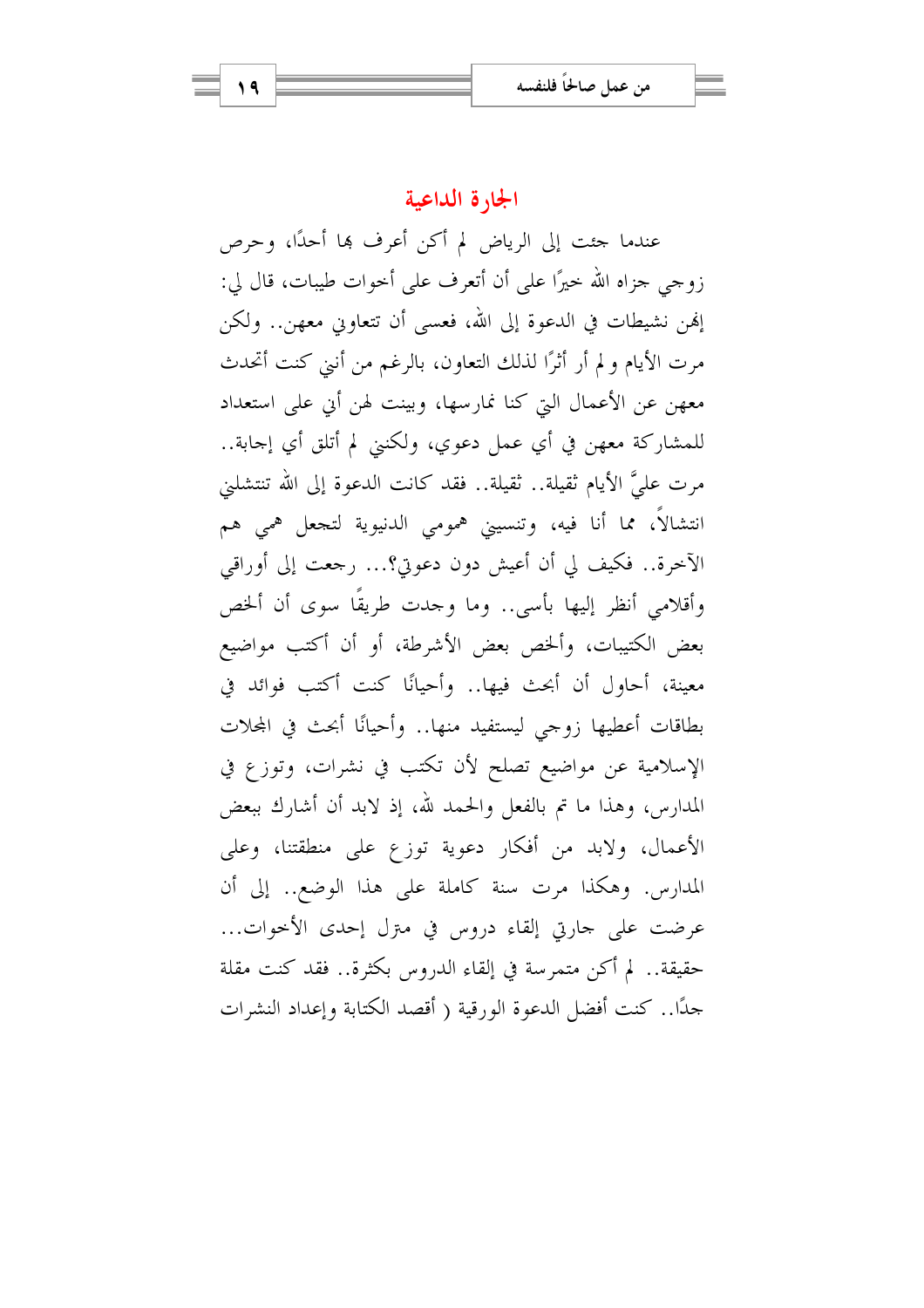#### الجادة الداعية

عندما حئت إلى الرياض لم أكن أعرف ها أحدًا، وحرص زوجي جزاه الله حيرًا على أن أتعرف على أخوات طيبات، قال لي: إلهن نشيطات في الدعوة إلى الله، فعسى أن تتعاوني معهن.. ولكن مرت الأيام و لم أر أثرًا لذلك التعاون، بالرغم من أنني كنت أتحدث معهن عن الأعمال التي كنا نمارسها، وبينت لهن أبي على استعداد للمشاركة معهن في أي عمل دعوي، ولكنني لم أتلق أي إجابة.. مرت عليَّ الأيام ثقيلة.. ثقيلة.. فقد كانت الدعوة إلى الله تنتشلين انتشالاً، مما أنا فيه، وتنسيني همومي الدنيوية لتجعل همي هم الآخرة.. فكيف لي أن أعيش دون دعوتي؟... رجعت إلى أوراقي وأقلامي أنظر إليها بأسي.. وما وجدت طريقًا سوى أن ألخص بعض الكتيبات، وألخص بعض الأشرطة، أو أن أكتب مواضيع معينة، أحاول أن أبحث فيها.. وأحيانًا كنت أكتب فوائد في بطاقات أعطيها زوجي ليستفيد منها.. وأحيانًا أبحث في المحلات الإسلامية عن مواضيع تصلح لأن تكتب في نشرات، وتوزع في المدارس، وهذا ما تم بالفعل والحمد لله، إذ لابد أن أشارك ببعض الأعمال، ولابد من أفكار دعوية توزع على منطقتنا، وعلى المدارس. وهكذا مرت سنة كاملة على هذا الوضع.. إلى أن عرضت على جارتي إلقاء دروس في مترل إحدى الأخوات... حقيقة.. لم أكن متمرسة في إلقاء الدروس بكثرة.. فقد كنت مقلة جدًا.. كنت أفضل الدعوة الورقية ( أقصد الكتابة وإعداد النشرات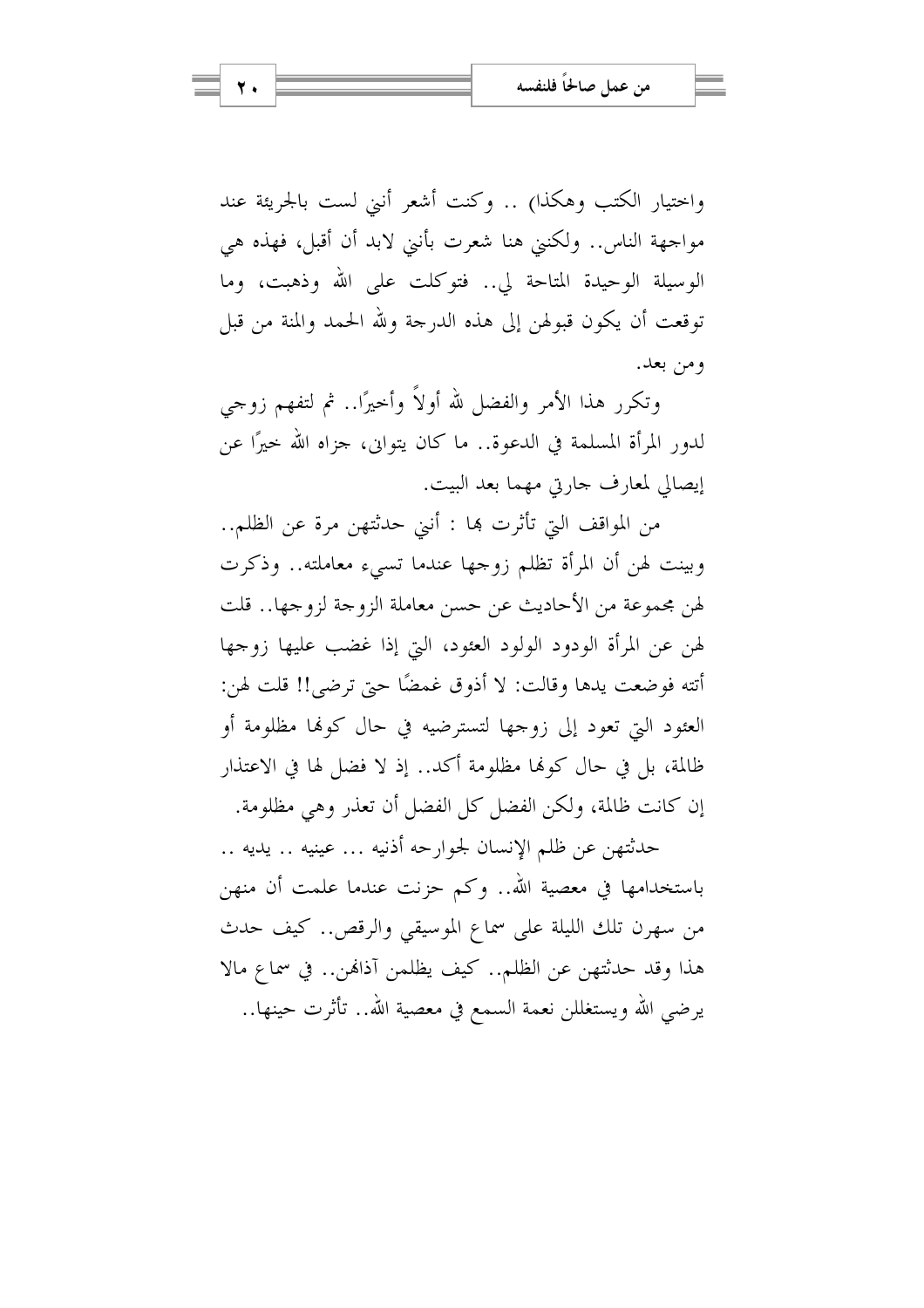واحتيار الكتب وهكذا) .. وكنت أشعر أنني لست بالجريئة عند مواجهة الناس.. ولكنني هنا شعرت بأنني لابد أن أقبل، فهذه هي الوسيلة الوحيدة المتاحة لي.. فتوكلت على الله وذهبت، وما توقعت أن يكون قبولهن إلى هذه الدرجة ولله الحمد والمنة من قبل و من بعد.

وتكرر هذا الأمر والفضل لله أولاً وأحيرًا.. ثم لتفهم زوجي لدور المرأة المسلمة في الدعوة.. ما كان يتوانى، جزاه الله خيرًا عن إيصالي لمعارف جارتي مهما بعد البيت.

من المواقف التي تأثَّرت ها : أنني حدثتهن مرة عن الظلم.. وبينت لهن أن المرأة تظلم زوجها عندما تسبىء معاملته.. وذكرت لهن مجموعة من الأحاديث عن حسن معاملة الزوجة لزوجها.. قلت لهن عن المرأة الودود الولود العئود، التي إذا غضب عليها زوجها أتته فوضعت يدها وقالت: لا أذوق غمضًا حبيٍّ ترضي!! قلت لهن: العثود التي تعود إلى زوجها لتسترضيه في حال كوفما مظلومة أو ظالمة، بل في حال كوفما مظلومة أكد.. إذ لا فضل لها في الاعتذار إن كانت ظالمة، ولكن الفضل كل الفضل أن تعذر وهي مظلومة.

حدثتهن عن ظلم الإنسان لجوارحه أذنيه ... عينيه .. يديه .. باستخدامها في معصية الله.. وكم حزنت عندما علمت أن منهن من سهرن تلك الليلة على سماع الموسيقى والرقص.. كيف حدث هذا وقد حدثتهن عن الظلم.. كيف يظلمن آذانهن.. في سماع مالا يرضي الله ويستغللن نعمة السمع في معصية الله.. تأثرت حينها..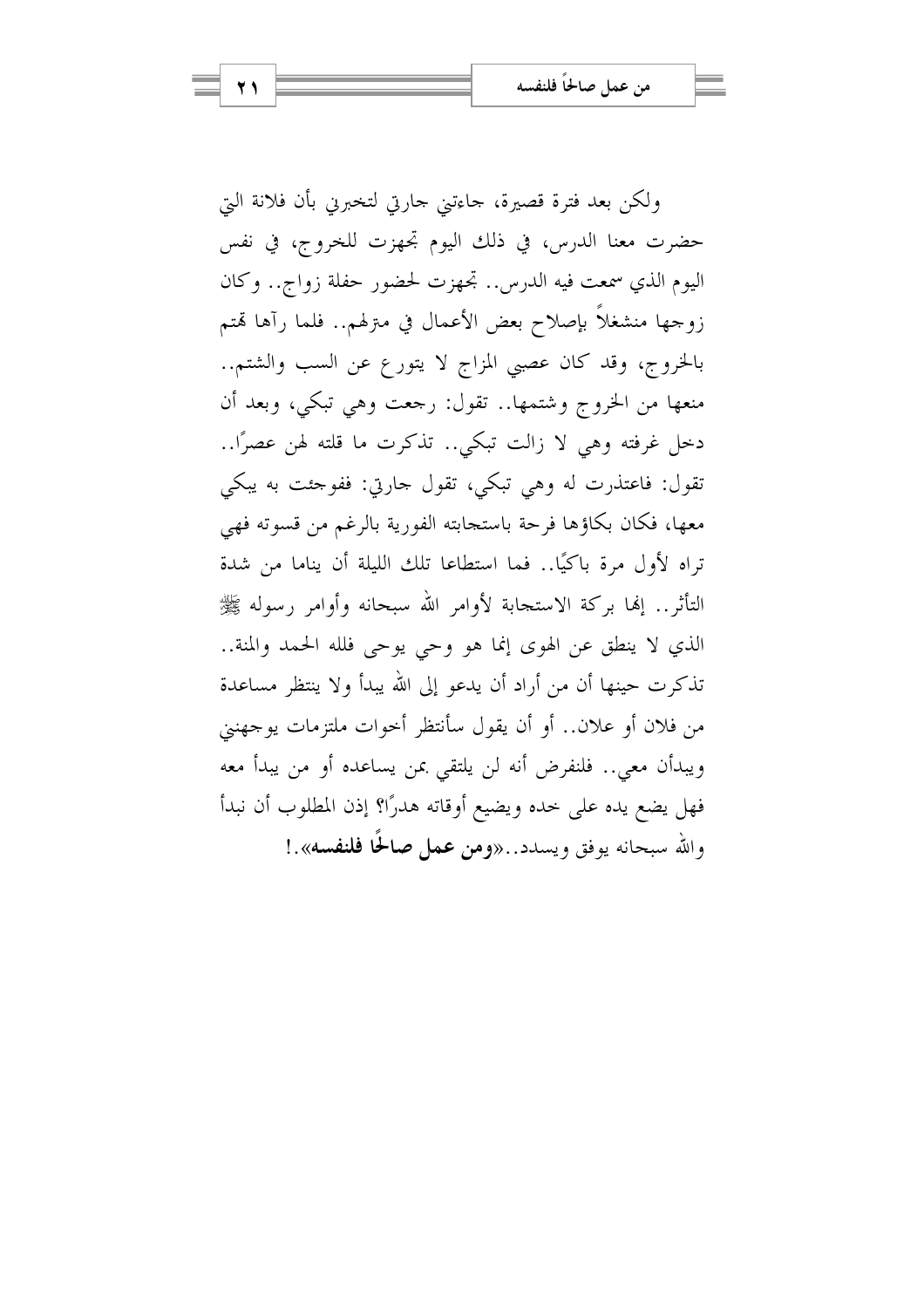ولكن بعد فترة قصيرة، حاءتني حارتي لتخبريي بأن فلانة التي حضرت معنا الدرس، في ذلك اليوم تجهزت للخروج، في نفس اليوم الذي سمعت فيه الدرس.. تجهزت لحضور حفلة زواج.. وكان زوجها منشغلاً بإصلاح بعض الأعمال في مترلهم.. فلما رآها تمتم بالخروج، وقد كان عصبي المزاج لا يتورع عن السب والشتم.. منعها من الخروج وشتمها.. تقول: رجعت وهي تبكي، وبعد أن دخل غرفته وهي لا زالت تبكي.. تذكرت ما قلته لهن عصرًا.. تقول: فاعتذرت له وهي تبكي، تقول جارتي: ففوجئت به يبكي معها، فكان بكاؤها فرحة باستجابته الفورية بالرغم من قسوته فهي تراه لأول مرة باكيًا.. فما استطاعا تلك الليلة أن يناما من شدة التأثر .. إلها بركة الاستجابة لأوامر الله سبحانه وأوامر رسوله ﷺ الذي لا ينطق عن الهوى إنما هو وحي يوحي فلله الحمد والمنة.. تذكرت حينها أن من أراد أن يدعو إلى الله يبدأ ولا ينتظر مساعدة من فلان أو علان.. أو أن يقول سأنتظر أحوات ملتزمات يوجهنين ويبدأن معي.. فلنفرض أنه لن يلتقي بمن يساعده أو من يبدأ معه فهل يضع يده على حده ويضيع أوقاته هدرًا؟ إذن المطلوب أن نبدأ والله سبحانه يوفق ويسدد . «ومن عمل صالحًا فلنفسه».!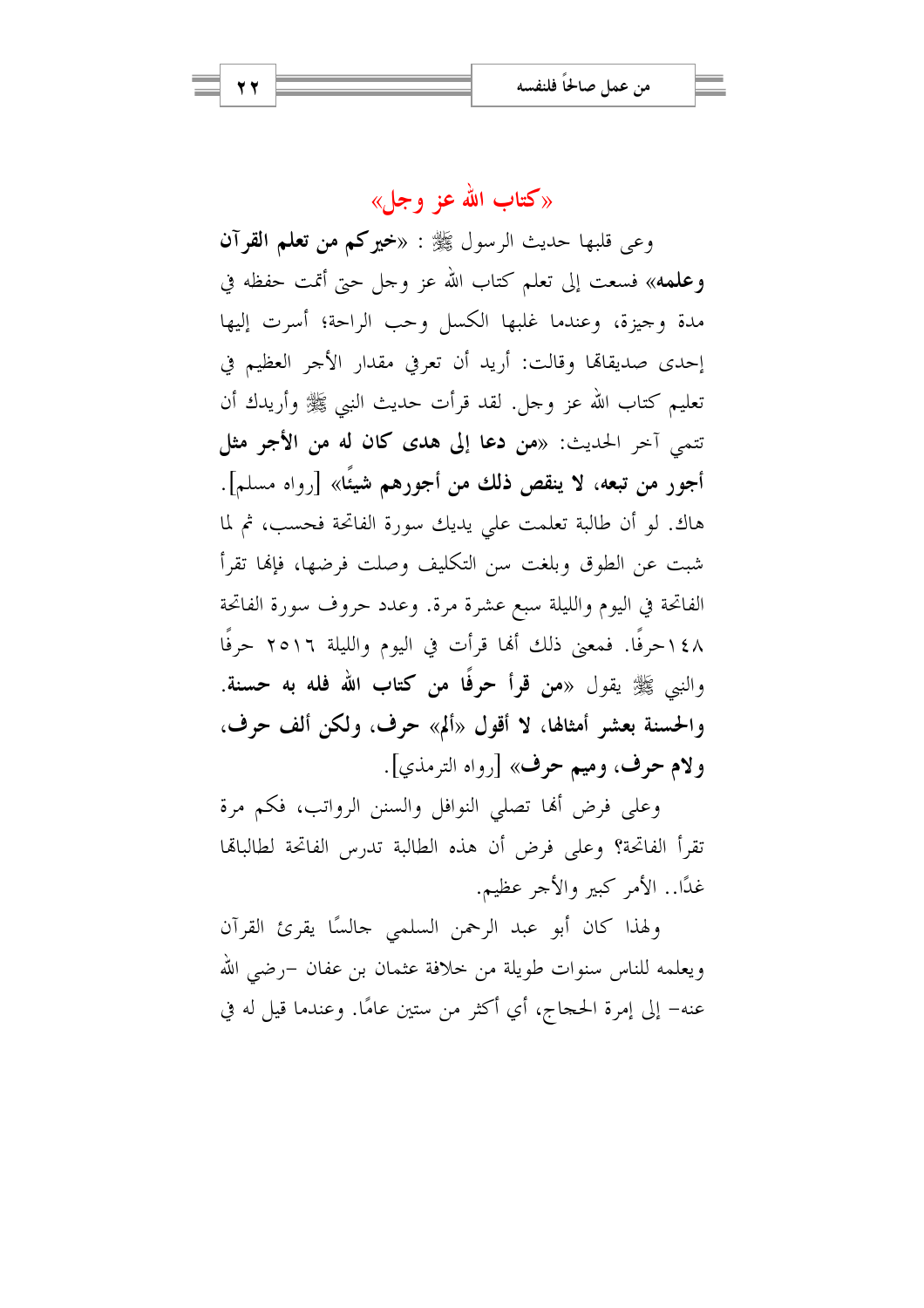# «كتاب الله عز وجل»

وعي قلبها حديث الرسول ﷺ : «خيركم من تعلم القرآن وعلمه» فسعت إلى تعلم كتاب الله عز وجل حتى أتمت حفظه في مدة وجيزة، وعندما غلبها الكسل وحب الراحة؛ أسرت إليها إحدى صديقاها وقالت: أريد أن تعرفي مقدار الأجر العظيم في تعليم كتاب الله عز وجلَّ. لقد قرأت حديث النبي ﷺ وأريدك أن تتمي آخر الحديث: «من دعا إلى هدى كان له من الأجر مثل أجور من تبعه، لا ينقص ذلك من أجورهم شيئًا» [رواه مسلم]. هاك. لو أن طالبة تعلمت على يديك سورة الفاتحة فحسب، ثم لما شبت عن الطوق وبلغت سن التكليف وصلت فرضها، فإلها تقرأ الفاتحة في اليوم والليلة سبع عشرة مرة. وعدد حروف سورة الفاتحة ١٤٨حرفًا. فمعنى ذلك أنما قرأت في اليوم والليلة ٢٥١٦ حرفًا والنبي ﷺ يقول «من قرأ حرفًا من كتاب الله فله به حسنة. والحسنة بعشر أمثالها، لا أقول «ألم» حرف، ولكن ألف حرف، ولام حرف، وميم حرف» [رواه الترمذي].

وعلى فرض ألها تصلى النوافل والسنن الرواتب، فكم مرة تقرأ الفاتحة؟ وعلى فرض أن هذه الطالبة تدرس الفاتحة لطالبالها غدًا.. الأمر كبير والأجر عظيم.

ولهذا كان أبو عبد الرحمن السلمي حالسًا يقرئ القرآن ويعلمه للناس سنوات طويلة من خلافة عثمان بن عفان –رضي الله عنه- إلى إمرة الحجاج، أي أكثر من ستين عامًا. وعندما قيل له في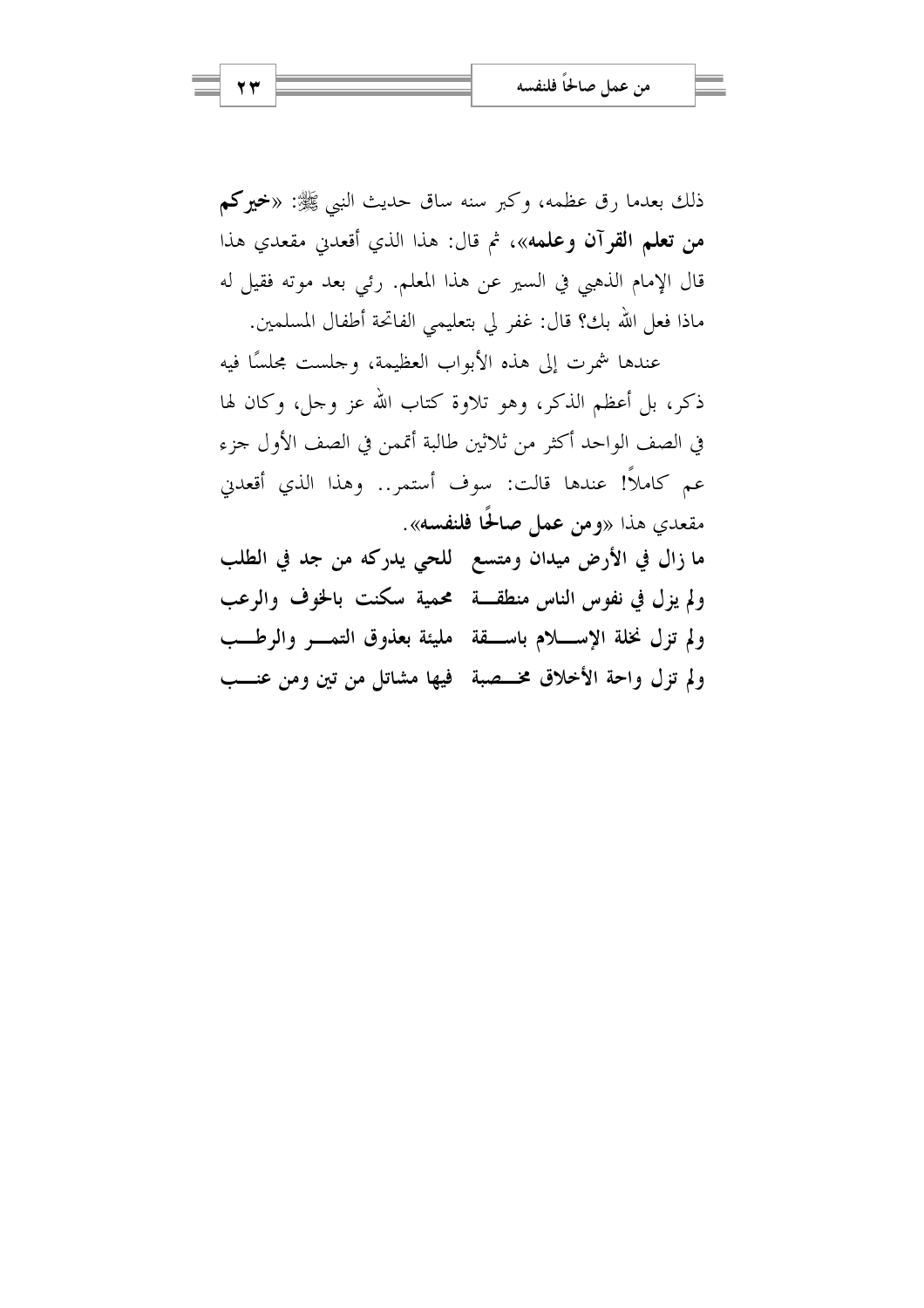ذلك بعدما رق عظمه، وكبر سنه ساق حديث النبي ﷺ: «خيركم من تعلم القرآن وعلمه»، ثم قال: هذا الذي أقعدني مقعدي هذا قال الإمام الذهبي في السير عن هذا المعلم. رئي بعد موته فقيل له ماذا فعل الله بك؟ قال: غفر لي بتعليمي الفاتحة أطفال المسلمين.

عندها شمرت إلى هذه الأبواب العظيمة، وجلست مجلسًا فيه ذكر، بل أعظم الذكر، وهو تلاوة كتاب الله عز وجل، وكان لها في الصف الواحد أكثر من ثلاثين طالبة أتممن في الصف الأول جزء عم كاملاً! عندها قالت: سوف أستمر.. وهذا الذي أقعدني مقعدي هذا «ومن عمل صالحًا فلنفسه». ما زال في الأرض ميدان ومتسع للحي يدركه من جد في الطلب ولم يزل في نفوس الناس منطقة محمية سكنت بالخوف والرعب ولم تزل نخلة الإســـلام باســـقة ً مليئة بعذوق التمـــر والرطـــب ولم تزل واحة الأخلاق مخــصبة فيها مشاتل من تين ومن عنـــب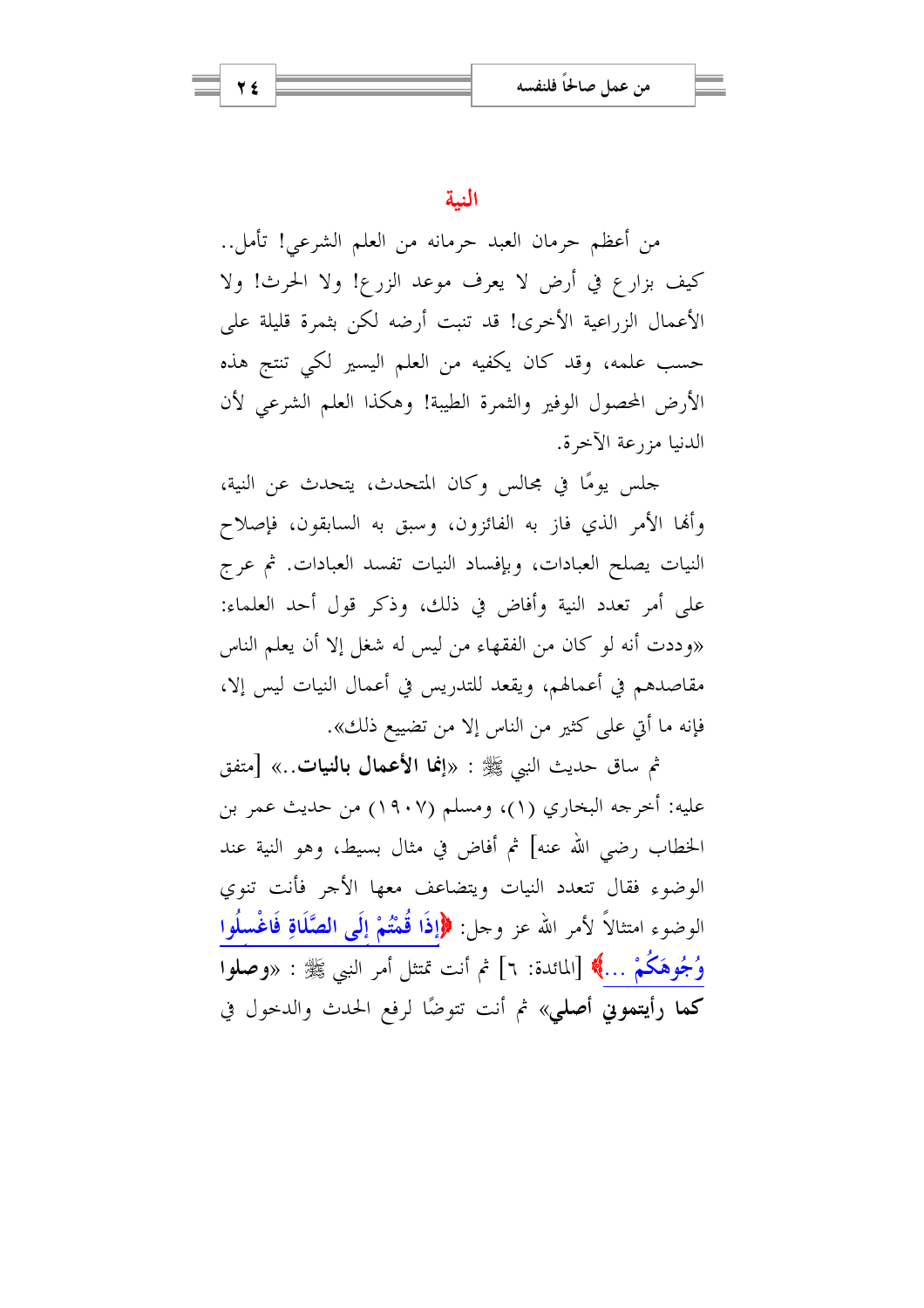#### النية

من أعظم حرمان العبد حرمانه من العلم الشرعي! تأمل.. كيف بزارع في أرض لا يعرف موعد الزرع! ولا الحرث! ولا الأعمال الزراعية الأحرى! قد تنبت أرضه لكن بثمرة قليلة على حسب علمه، وقد كان يكفيه من العلم اليسير لكي تنتج هذه الأرض المحصول الوفير والثمرة الطيبة! وهكذا العلم الشرعي لأن الدنيا مز, عة الآخرة.

جلس يومًا في مجالس وكان المتحدث، يتحدث عن النية، وألها الأمر الذي فاز به الفائزون، وسبق به السابقون، فإصلاح النيات يصلح العبادات، وبإفساد النيات تفسد العبادات. ثم عرج على أمر تعدد النية وأفاض في ذلك، وذكر قول أحد العلماء: «وددت أنه لو كان من الفقهاء من ليس له شغل إلا أن يعلم الناس مقاصدهم في أعمالهم، ويقعد للتدريس في أعمال النيات ليس إلا، فإنه ما أتى على كثير من الناس إلا من تضييع ذلك».

ثم ساق حديث النبي ﷺ : «إنما الأعمال بالنيات..» [متفق عليه: أخرجه البخاري (١)، ومسلم (١٩٠٧) من حديث عمر بن الخطاب رضي الله عنه] ثم أفاض في مثال بسيط، وهو النية عند الوضوء فقال تتعدد النيات ويتضاعف معها الأجر فأنت تنوي الوضوء امتثالاً لأمر الله عز وحل: ﴿إِذَا قُمْتُمْ إِلَى الصَّلَاةِ فَاغْسِلُوا ۖ وُجُوهَكُمْ …﴾ [المائدة: ٦] ثم أنت تمتثل أمر النبي ﷺ : «وصلوا كما رأيتموني أصلي» ثم أنت تتوضًا لرفع الحدث والدحول في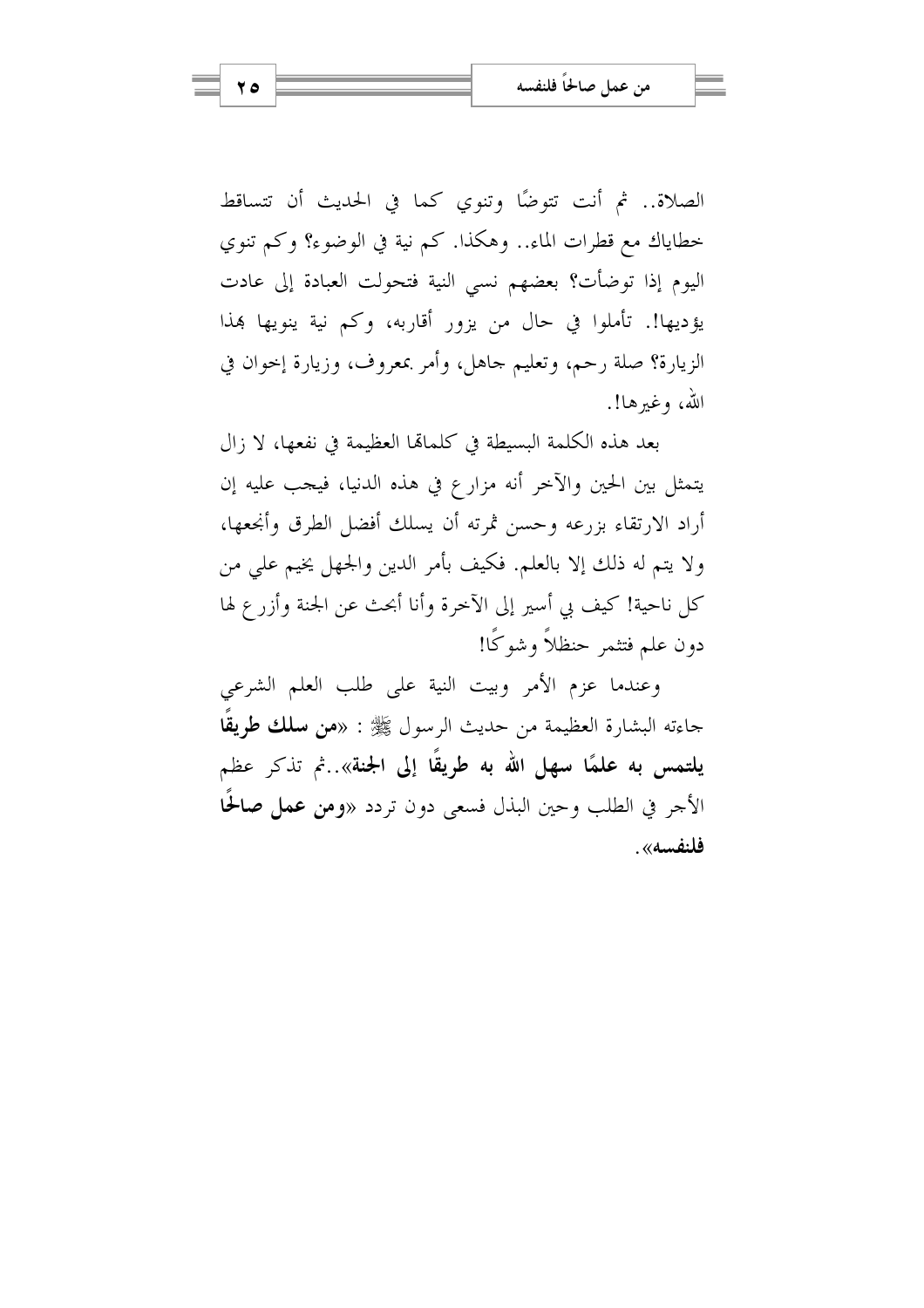الصلاة.. ثم أنت تتوضًا وتنوي كما في الحديث أن تتساقط خطاياك مع قطرات الماء.. وهكذا. كم نية في الوضوء؟ وكم تنوي اليوم إذا توضأت؟ بعضهم نسبي النية فتحولت العبادة إلى عادت يؤديها!. تأملوا في حال من يزور أقاربه، وكم نية ينويها بهذا الزيارة؟ صلة رحم، وتعليم حاهل، وأمر بمعروف، وزيارة إخوان في الله، وغيرها!.

بعد هذه الكلمة البسيطة في كلمالها العظيمة في نفعها، لا زال يتمثل بين الحين والآخر أنه مزارع في هذه الدنيا، فيجب عليه إن أراد الارتقاء بزرعه وحسن ثمرته أن يسلك أفضل الطرق وأنجعها، ولا يتم له ذلك إلا بالعلم. فكيف بأمر الدين والجهل يخيم على من كل ناحية! كيف بي أسير إلى الآخرة وأنا أبحث عن الجنة وأزرع لها دون علم فتثمر حنظلاً وشوكًا!

وعندما عزم الأمر وبيت النية على طلب العلم الشرعي جاءته البشارة العظيمة من حديث الرسول ﷺ : «من **سلك طريقًا** يلتمس به علمًا سهل الله به طريقًا إلى الجنة»..ثم تذكر عظم الأجر في الطلب وحين البذل فسعى دون تردد «ومن عمل صالحًا فلنفسه».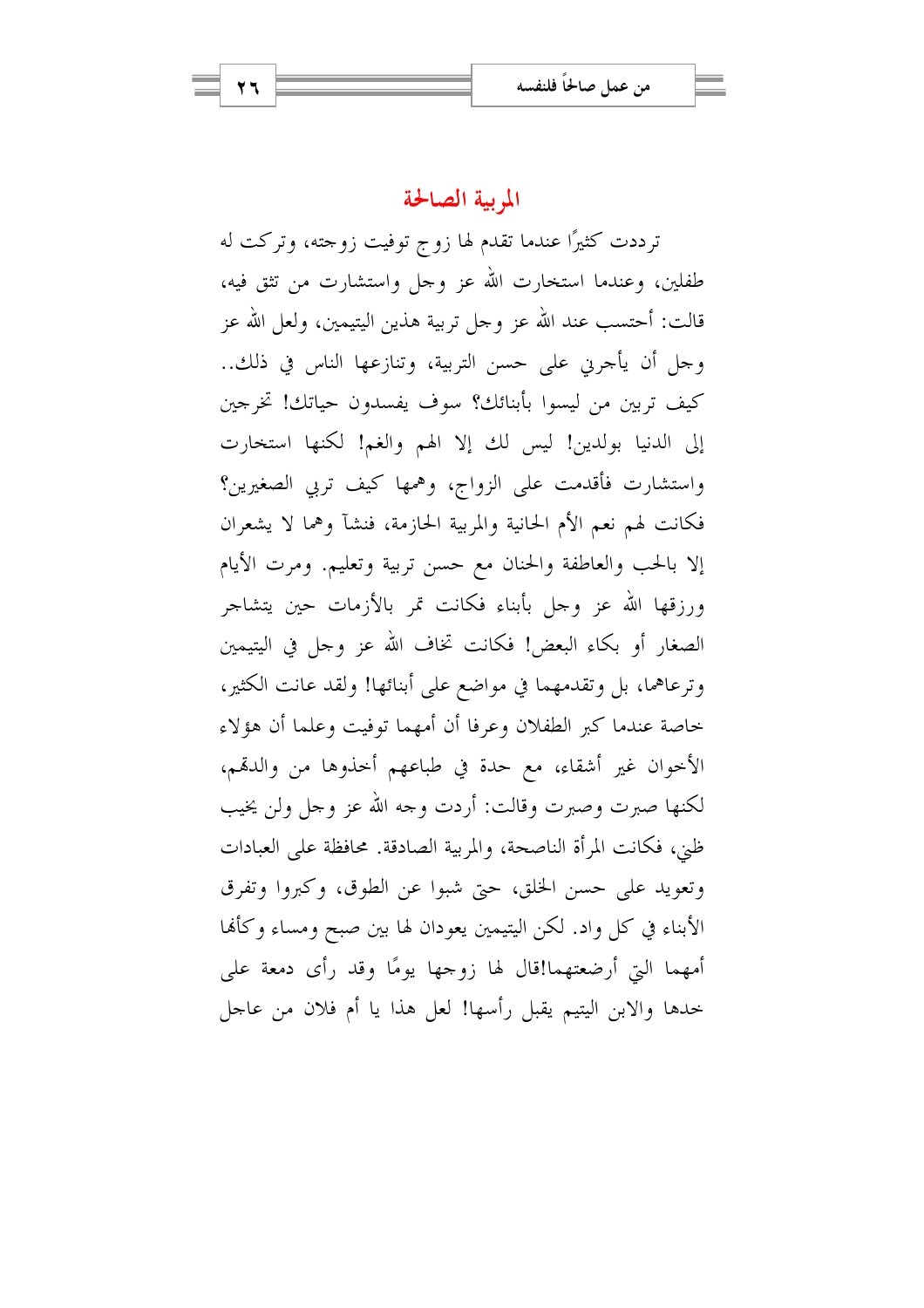# المربية الصالحة

ترددت كثيرًا عندما تقدم لها زوج توفيت زوجته، وتركت له طفلين، وعندما استخارت الله عز وحل واستشارت من تثق فيه، قالت: أحتسب عند الله عز وجل تربية هذين اليتيمين، ولعل الله عز وجل أن يأجرني على حسن التربية، وتنازعها الناس في ذلك.. كيف تربين من ليسوا بأبنائك؟ سوف يفسدون حياتك! تخرجين إلى الدنيا بولدين! ليس لك إلا الهم والغم! لكنها استخارت واستشارت فأقدمت على الزواج، وهمها كيف تربي الصغيرين؟ فكانت لهم نعم الأم الحانية والمربية الحازمة، فنشآ وهما لا يشعران إلا بالحب والعاطفة والحنان مع حسن تربية وتعليم. ومرت الأيام ورزقها الله عز وجل بأبناء فكانت تمر بالأزمات حين يتشاجر الصغار أو بكاء البعض! فكانت تخاف الله عز وجل في اليتيمين وترعاهما، بل وتقدمهما في مواضع على أبنائها! ولقد عانت الكثير، خاصة عندما كبر الطفلان وعرفا أن أمهما توفيت وعلما أن هؤلاء الأحوان غير أشقاء، مع حدة في طباعهم أحذوها من والدقم، لكنها صبرت وصبرت وقالت: أردت وجه الله عز وجل ولن يخيب ظني، فكانت المرأة الناصحة، والمربية الصادقة. محافظة على العبادات وتعويد على حسن الخلق، حتى شبوا عن الطوق، وكبروا وتفرق الأبناء في كل واد. لكن اليتيمين يعودان لها بين صبح ومساء وكألها أمهما التي أرضعتهما!قال لها زوجها يومًا وقد رأى دمعة على خدها والابن اليتيم يقبل رأسها! لعل هذا يا أم فلان من عاجل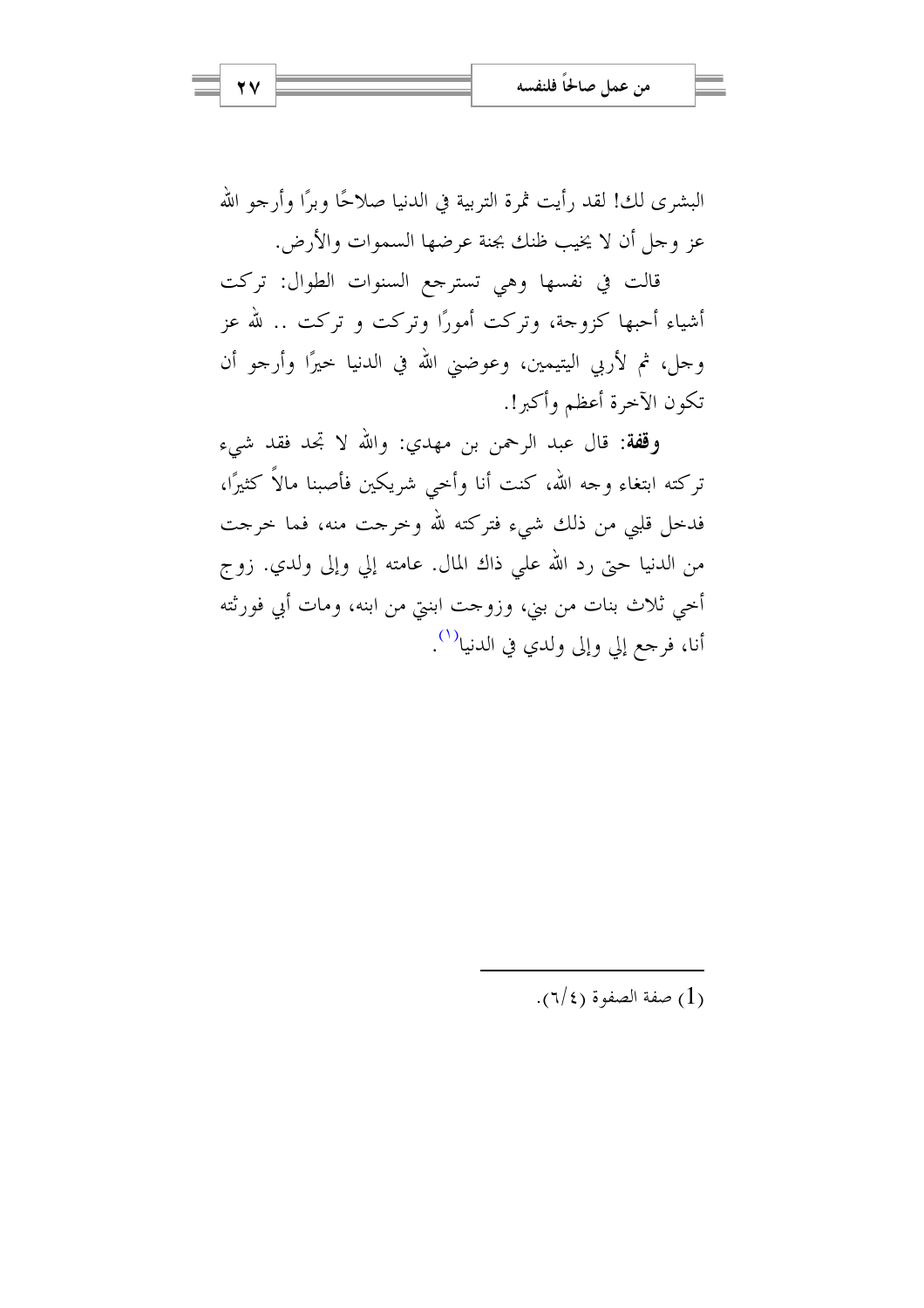البشرى لك! لقد رأيت ثمرة التربية في الدنيا صلاحًا وبرًا وأرجو الله عز وجل أن لا يخيب ظنك بجنة عرضها السموات والأرض.

قالت في نفسها وهي تسترجع السنوات الطوال: تركت أشياء أحبها كزوجة، وتركت أمورًا وتركت و تركت .. لله عز وجل، ثم لأربي اليتيمين، وعوضني الله في الدنيا حيرًا وأرجو أن تكون الآخرة أعظم وأكبر!.

**وقفة:** قال عبد الرحمن بن مهدي: والله لا تجد فقد شيء تركته ابتغاء وجه الله، كنت أنا وأخى شريكين فأصبنا مالاً كثيرًا، فدخل قلبي من ذلك شيء فتركته لله وخرجت منه، فما خرجت من الدنيا حتى رد الله على ذاك المال. عامته إلي وإلى ولدي. زوج أخي ثلاث بنات من بني، وزوجت ابنتي من ابنه، ومات أبي فورثته أنا، فرحع إلى وإلى ولدي في الدنيا<sup>(١)</sup>.

 $(1)$  صفة الصفوة (٤/٢).

**YV**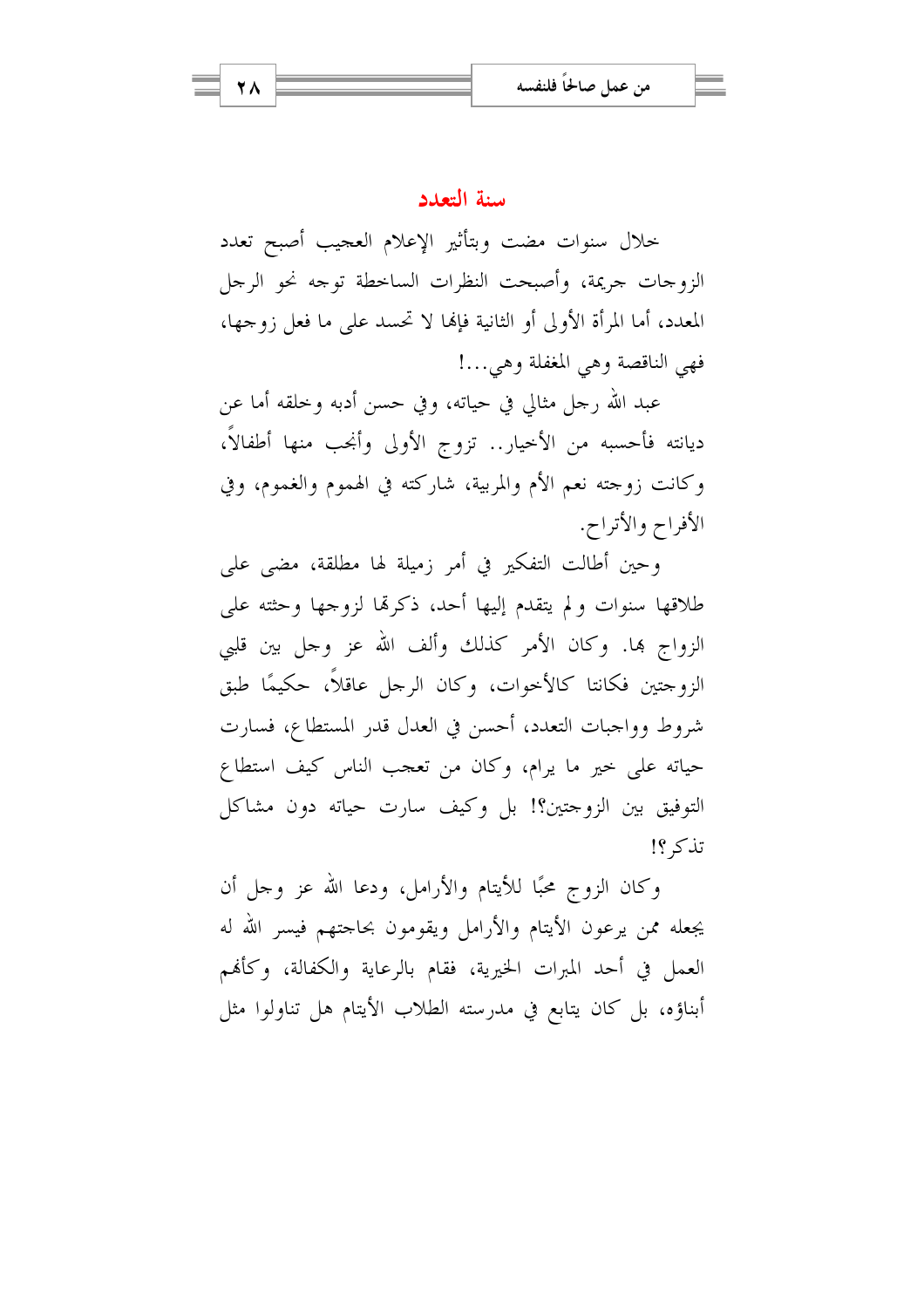#### سنة التعدد

خلال سنوات مضت وبتأثير الإعلام العجيب أصبح تعدد الزوجات جريمة، وأصبحت النظرات الساخطة توجه نحو الرجل المعدد، أما المرأة الأولى أو الثانية فإنها لا تحسد على ما فعل زوجها، فهي الناقصة وهي المغفلة وهي...!

عبد الله , جلَّ مثالي في حياته، وفي حسن أدبه وخلقه أما عن ديانته فأحسبه من الأخيار.. تزوج الأولى وأنجب منها أطفالًا، وكانت زوجته نعم الأم والمربية، شاركته في الهموم والغموم، وفي الأفراح والأتراح.

وحين أطالت التفكير في أمر زميلة لها مطلقة، مضى على طلاقها سنوات ولم يتقدم إليها أحد، ذكرها لزوجها وحثته على الزواج بما. وكان الأمر كذلك وألف الله عز وجل بين قلبي الزوجتين فكانتا كالأخوات، وكان الرجل عاقلاً، حكيمًا طبق شروط وواجبات التعدد، أحسن في العدل قدر المستطاع، فسارت حياته على خير ما يرام، وكان من تعجب الناس كيف استطاع التوفيق بين الزوجتين؟! بل وكيف سارت حياته دون مشاكل تذكر ؟!

وكان الزوج محبًا للأيتام والأرامل، ودعا الله عز وجل أن يجعله ممن يرعون الأيتام والأرامل ويقومون بحاجتهم فيسر الله له العمل في أحد المبرات الخيرية، فقام بالرعاية والكفالة، وكألهم أبناؤه، بل كان يتابع في مدرسته الطلاب الأيتام هل تناولوا مثل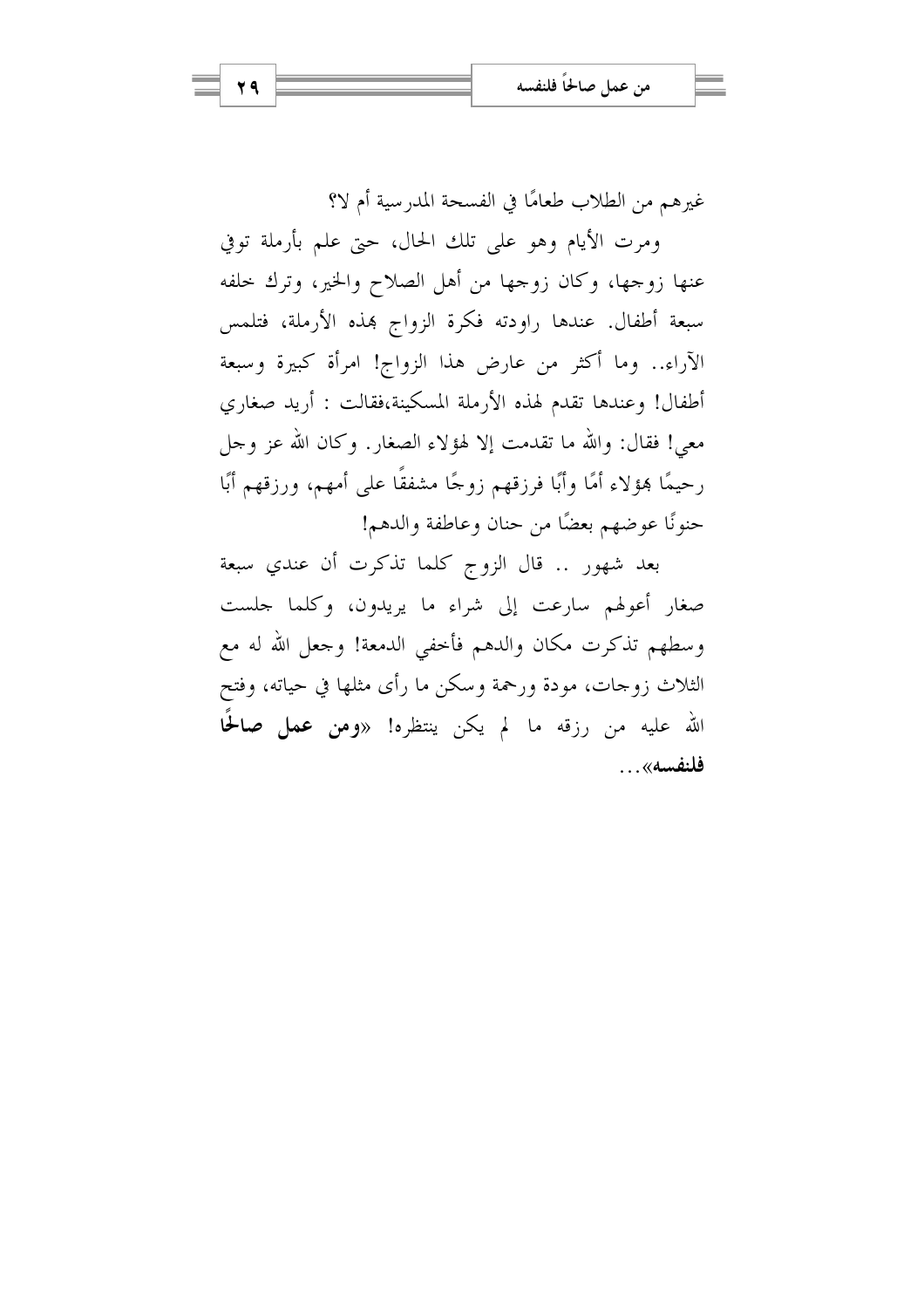غيرهم من الطلاب طعامًا في الفسحة المدرسية أم لا؟

ومرت الأيام وهو على تلك الحال، حتى علم بأرملة توفي عنها زوجها، وكان زوجها من أهل الصلاح والخير، وترك خلفه سبعة أطفال. عندها راودته فكرة الزواج هذه الأرملة، فتلمس الآراء.. وما أكثر من عارض هذا الزواج! امرأة كبيرة وسبعة أطفال! وعندها تقدم لهذه الأرملة المسكينة،فقالت : أريد صغارى معي! فقال: والله ما تقدمت إلا لهؤلاء الصغار. وكان الله عز وجل رحيمًا هِؤلاء أمًا وأبًا فرزقهم زوجًا مشفقًا على أمهم، ورزقهم أبًا حنونًا عوضهم بعضًا من حنان وعاطفة والدهم!

بعد شهور .. قال الزوج كلما تذكرت أن عندي سبعة صغار أعولهم سارعت إلى شراء ما يريدون، وكلما جلست وسطهم تذكرت مكان والدهم فأحفى الدمعة! وجعل الله له مع الثلاث زوجات، مودة ورحمة وسكن ما رأى مثلها في حياته، وفتح الله عليه من رزقه ما لم يكن ينتظره! «**ومن عمل صالحًا** فلنفسه»...

29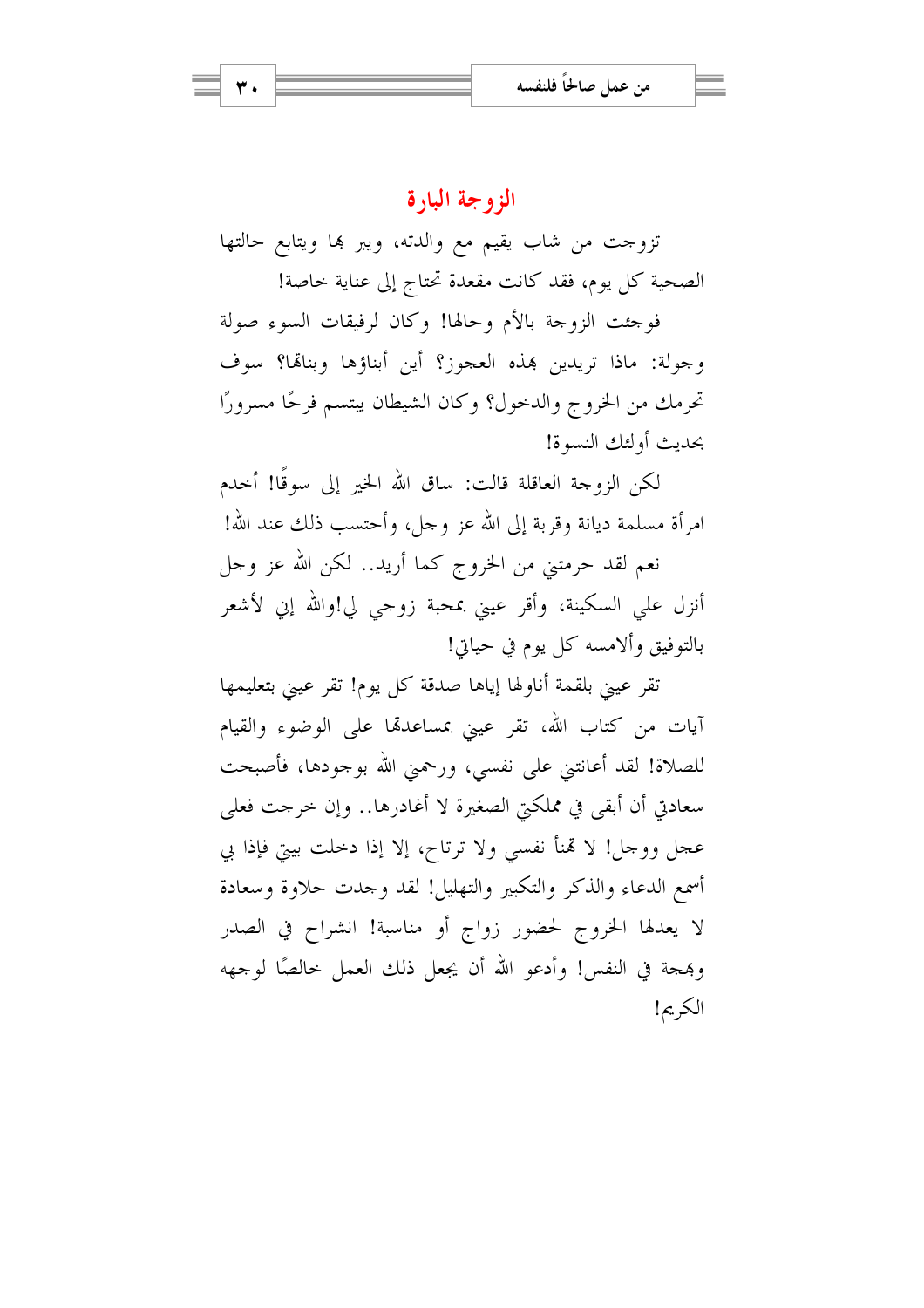# الزوجة البارة

تزوجت من شاب يقيم مع والدته، ويبر ها ويتابع حالتها الصحية كل يوم، فقد كانت مقعدة تحتاج إلى عناية خاصة!

فوحثت الزوحة بالأم وحالها! وكان لرفيقات السوء صولة وجولة: ماذا تريدين بهذه العجوز؟ أين أبناؤها وبناهًا؟ سوف تحرمك من الخروج والدحول؟ وكان الشيطان يبتسم فرحًا مسرورًا بحديث أولئك النسوة!

لكن الزوجة العاقلة قالت: ساق الله الخير إلى سوقًا! أحدم امرأة مسلمة ديانة وقربة إلى الله عز وجل، وأحتسب ذلك عند الله!

نعم لقد حرمتني من الخروج كما أريد.. لكن الله عز وحل أنزل على السكينة، وأقر عيني بمحبة زوجي لي!والله إني لأشعر بالتوفيق وألامسه كل يوم في حياتي!

تقر عيني بلقمة أناولها إياها صدقة كل يوم! تقر عيني بتعليمها آيات من كتاب الله، تقر عيني بمساعدها على الوضوء والقيام للصلاة! لقد أعانتني على نفسي، ورحمني الله بوجودها، فأصبحت سعادتي أن أبقى في مملكتي الصغيرة لا أغادرها.. وإن خرجت فعلى عجل ووجل! لا تمنأ نفسي ولا ترتاح، إلا إذا دخلت بيتي فإذا بي أسمع الدعاء والذكر والتكبير والتهليل! لقد وحدت حلاوة وسعادة لا يعدلها الخروج لحضور زواج أو مناسبة! انشراح في الصدر وبمجة في النفس! وأدعو الله أن يجعل ذلك العمل حالصًا لوجهه الكريم!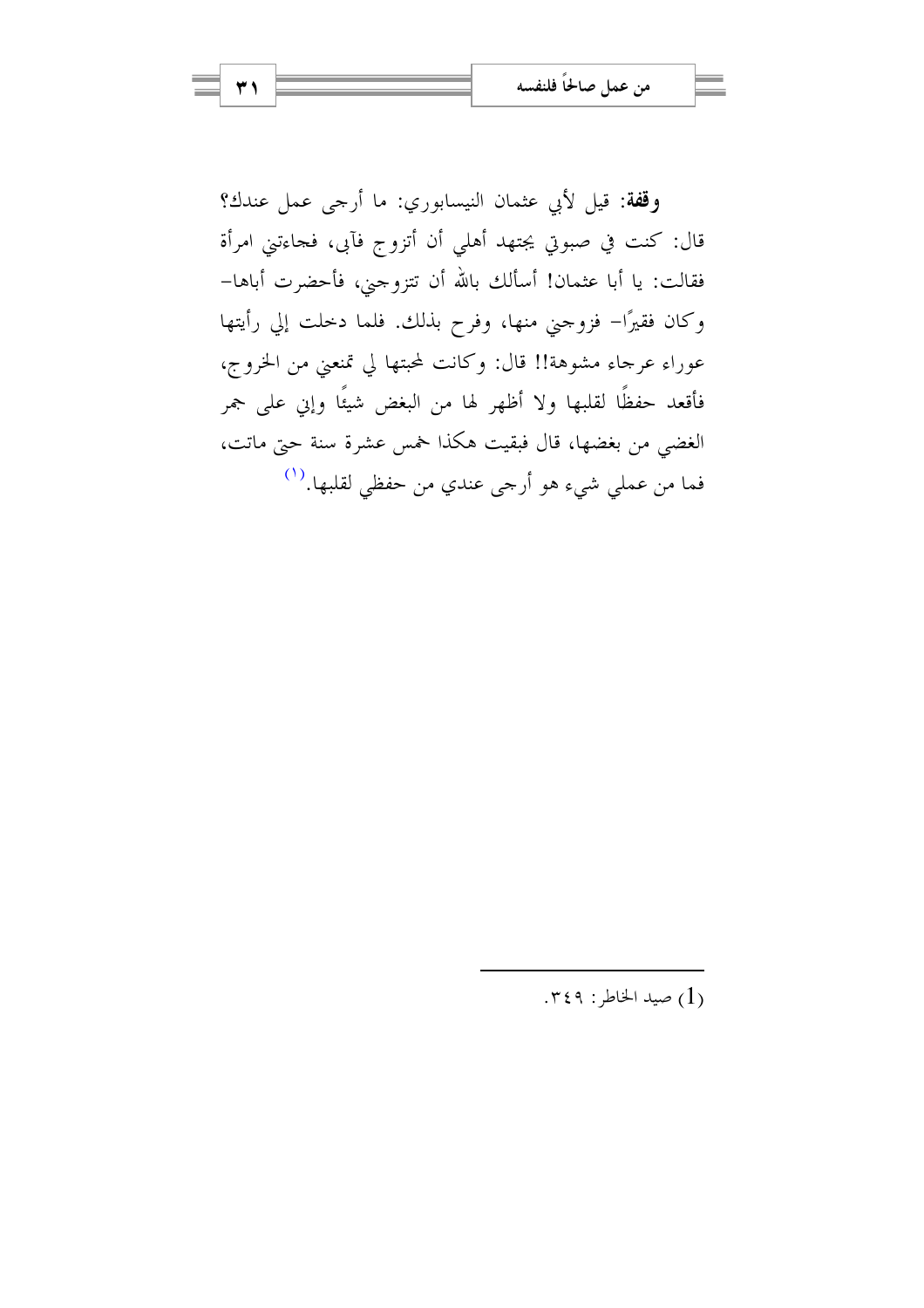وقفة: قيل لأبي عثمان النيسابوري: ما أرجى عمل عندك؟ قال: كنت في صبوتي يجتهد أهلي أن أتزوج فآبي، فجاءتني امرأة فقالت: يا أبا عثمان! أسألك بالله أن تتزوجني، فأحضرت أباها– وكان فقيرًا– فزوجني منها، وفرح بذلك. فلما دخلت إلي رأيتها عوراء عرجاء مشوهة!! قال: وكانت لمحبتها لي تمنعني من الخروج، فأقعد حفظًا لقلبها ولا أظهر لها من البغض شيئًا وإني على جمر الغضي من بغضها، قال فبقيت هكذا خمس عشرة سنة حتى ماتت، فما من عملي شيء هو أرجى عندي من حفظي لقلبها.<sup>(١)</sup>

.۳٤٩ : بيد الخاطر : ٣٤٩.

۳١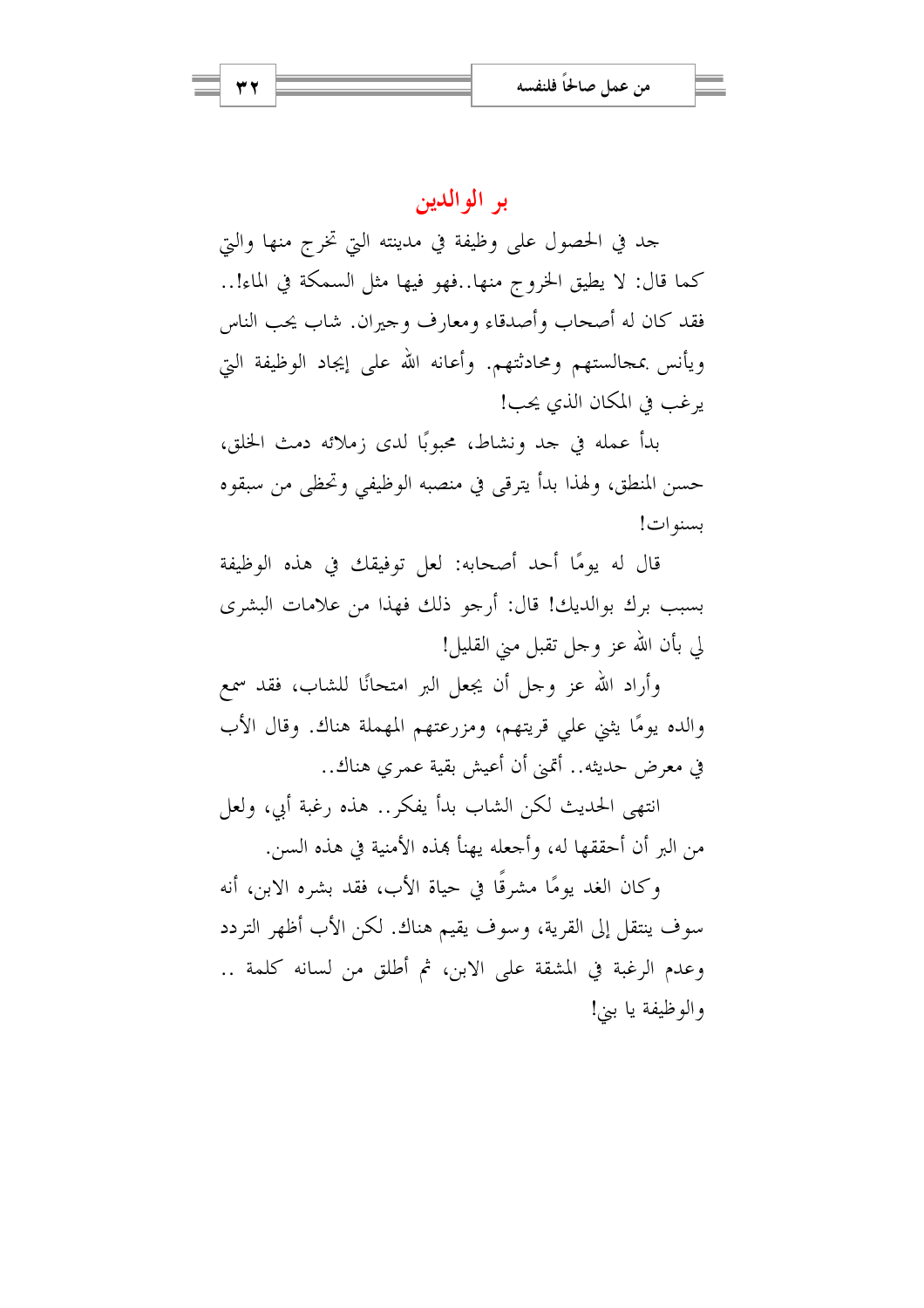## بر الوالدين

حد في الحصول على وظيفة في مدينته التي تخرج منها والتي كما قال: لا يطيق الخروج منها..فهو فيها مثل السمكة في الماء!.. فقد كان له أصحاب وأصدقاء ومعارف وحيران. شاب يحب الناس ويأنس بمجالستهم ومحادثتهم. وأعانه الله على إيجاد الوظيفة التي برغب في المكان الذي يجب!

بدأ عمله في جد ونشاط، محبوبًا لدى زملائه دمث الخلق، حسن المنطق، ولهذا بدأ يترقى في منصبه الوظيفي وتحظى من سبقوه بسنوات!

قال له يومًا أحد أصحابه: لعل توفيقك في هذه الوظيفة بسبب برك بوالديك! قال: أرجو ذلك فهذا من علامات البشرى لى بأن الله عز وحل تقبل مني القليل!

وأراد الله عز وجل أن يجعل البر امتحانًا للشاب، فقد سمع والده يومًا يثني على قريتهم، ومزرعتهم المهملة هناك. وقال الأب في معرض حديثه.. أتمني أن أعيش بقية عمري هناك..

انتهى الحديث لكن الشاب بدأ يفكر .. هذه رغبة أيي، ولعل من البر أن أحققها له، وأجعله يهنأ هذه الأمنية في هذه السن.

وكان الغد يومًا مشرقًا في حياة الأب، فقد بشره الابن، أنه سوف ينتقل إلى القرية، وسوف يقيم هناك. لكن الأب أظهر التردد وعدم الرغبة في المشقة على الابن، ثم أطلق من لسانه كلمة .. والوظيفة يا بين!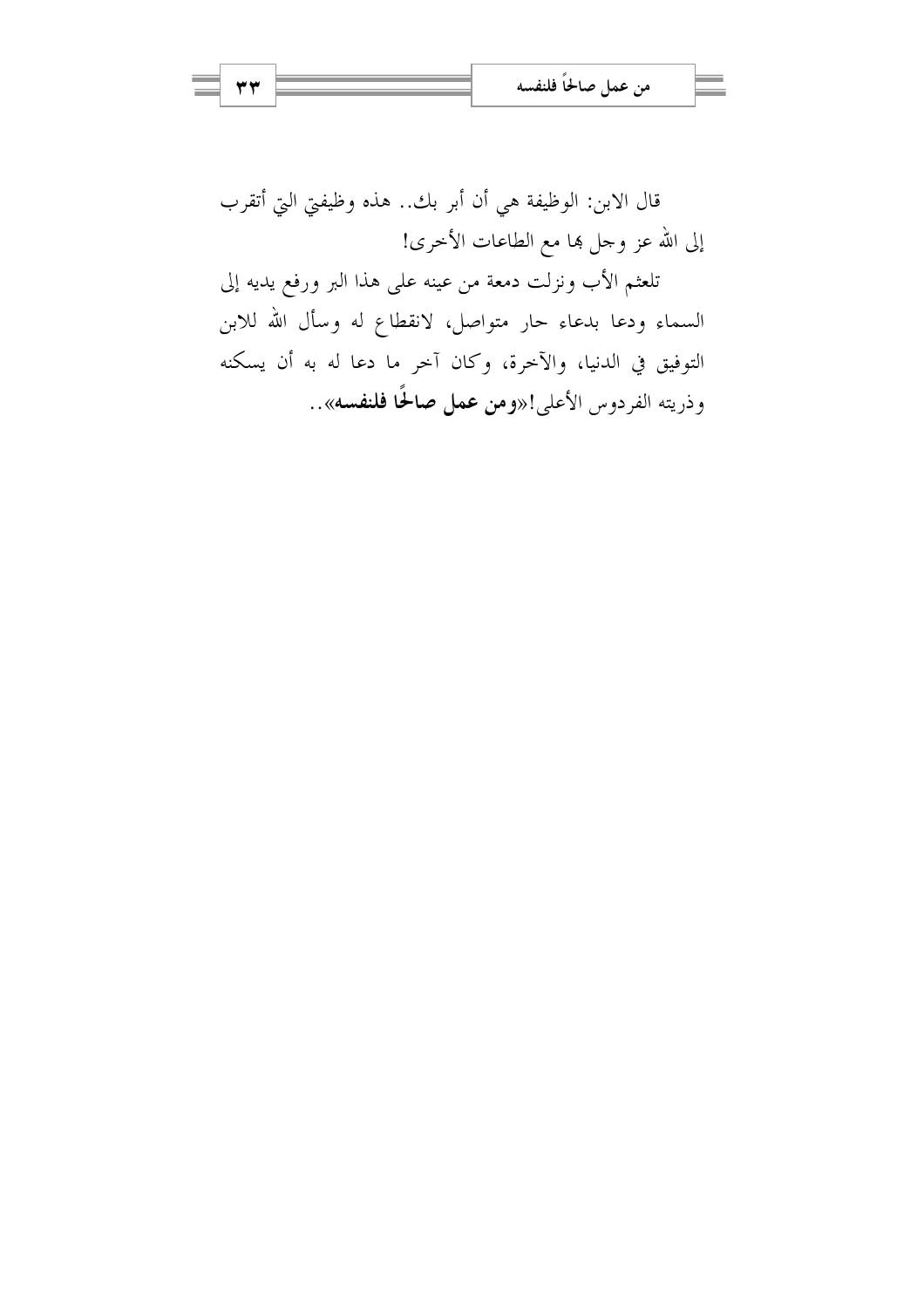قال الابن: الوظيفة هي أن أبر بك.. هذه وظيفتي التي أتقرب إلى الله عز وحل بما مع الطاعات الأخرى!

تلعثم الأب ونزلت دمعة من عينه على هذا البر ورفع يديه إلى السماء ودعا بدعاء حار متواصل، لانقطاع له وسأل الله للابن التوفيق في الدنيا، والآخرة، وكان آخر ما دعا له به أن يسكنه وذريته الفردوس الأعلى!«**ومن عمل صالحًا فلنفسه**»..